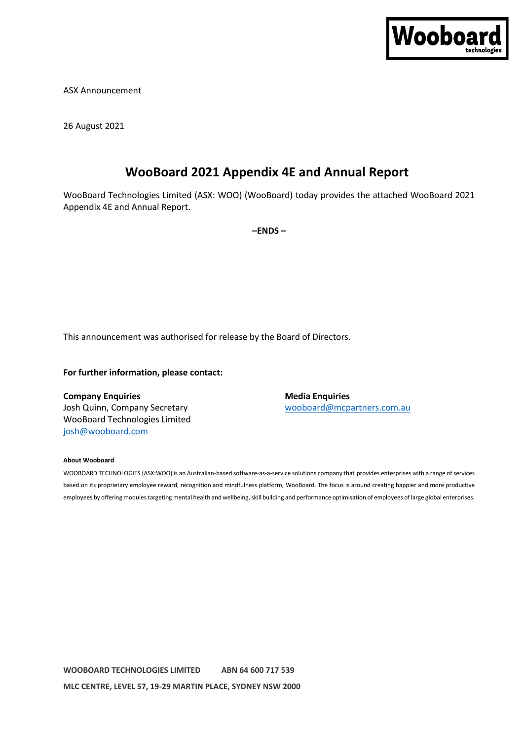

ASX Announcement

26 August 2021

# **WooBoard 2021 Appendix 4E and Annual Report**

WooBoard Technologies Limited (ASX: WOO) (WooBoard) today provides the attached WooBoard 2021 Appendix 4E and Annual Report.

**–ENDS –**

This announcement was authorised for release by the Board of Directors.

## **For further information, please contact:**

**Company Enquiries Media Enquiries Media Enquiries** Josh Quinn, Company Secretary and Manuscription and Morocomorphic Monometers.com.au WooBoard Technologies Limited [josh@wooboard.com](about:blank)

#### **About Wooboard**

WOOBOARD TECHNOLOGIES (ASX:WOO) is an Australian-based software-as-a-service solutions company that provides enterprises with a range of services based on its proprietary employee reward, recognition and mindfulness platform, WooBoard. The focus is around creating happier and more productive employees by offering modules targeting mental health and wellbeing, skill building and performance optimisation of employees of large global enterprises.

**WOOBOARD TECHNOLOGIES LIMITED ABN 64 600 717 539 MLC CENTRE, LEVEL 57, 19-29 MARTIN PLACE, SYDNEY NSW 2000**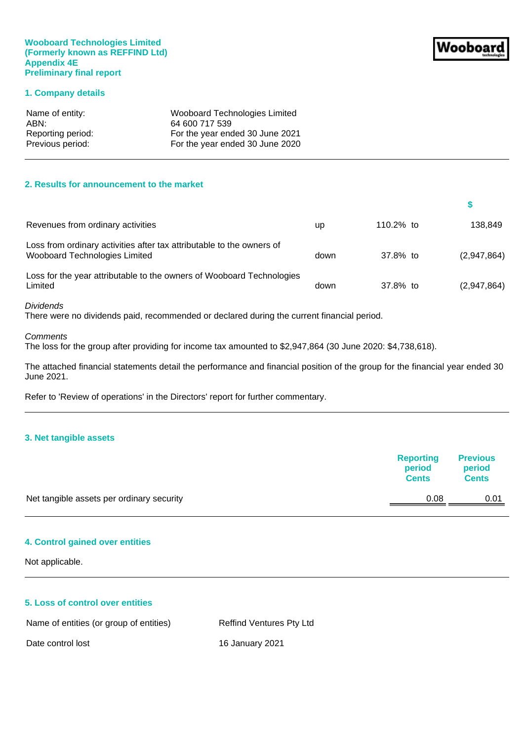## **Wooboard Technologies Limited (Formerly known as REFFIND Ltd) Appendix 4E Preliminary final report**

## **1. Company details**

| Name of entity:   | Wooboard Technologies Limited   |
|-------------------|---------------------------------|
| ABN:              | 64 600 717 539                  |
| Reporting period: | For the year ended 30 June 2021 |
| Previous period:  | For the year ended 30 June 2020 |

## **2. Results for announcement to the market**

| Revenues from ordinary activities                                                                      | up   | 110.2% to | 138.849     |
|--------------------------------------------------------------------------------------------------------|------|-----------|-------------|
| Loss from ordinary activities after tax attributable to the owners of<br>Wooboard Technologies Limited | down | 37.8% to  | (2,947,864) |
| Loss for the year attributable to the owners of Wooboard Technologies<br>Limited                       | down | 37.8% to  | (2,947,864) |

## *Dividends*

There were no dividends paid, recommended or declared during the current financial period.

#### *Comments*

The loss for the group after providing for income tax amounted to \$2,947,864 (30 June 2020: \$4,738,618).

The attached financial statements detail the performance and financial position of the group for the financial year ended 30 June 2021.

Refer to 'Review of operations' in the Directors' report for further commentary.

## **3. Net tangible assets**

|                                           | <b>Reporting</b><br>period<br><b>Cents</b> | <b>Previous</b><br>period<br><b>Cents</b> |
|-------------------------------------------|--------------------------------------------|-------------------------------------------|
| Net tangible assets per ordinary security | 0.08                                       | 0.01                                      |
|                                           |                                            |                                           |

## **4. Control gained over entities**

Not applicable.

## **5. Loss of control over entities**

Name of entities (or group of entities) Reffind Ventures Pty Ltd

Date control lost 16 January 2021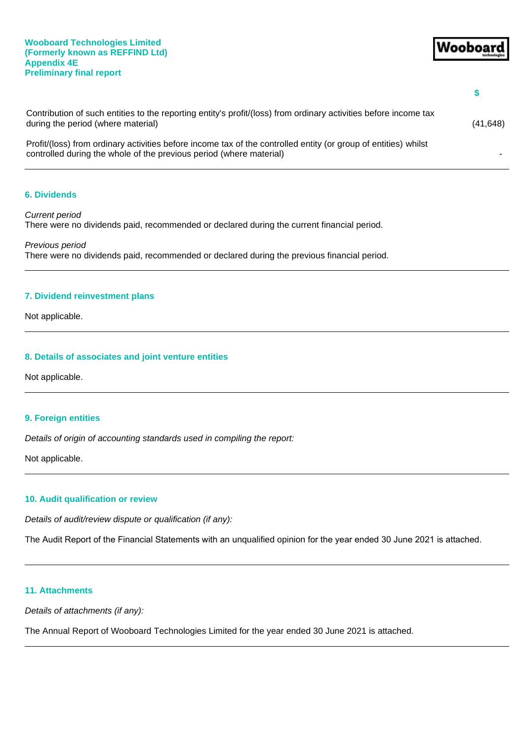| Contribution of such entities to the reporting entity's profit/(loss) from ordinary activities before income tax<br>during the period (where material)                                 | (41, 648) |
|----------------------------------------------------------------------------------------------------------------------------------------------------------------------------------------|-----------|
| Profit/(loss) from ordinary activities before income tax of the controlled entity (or group of entities) whilst<br>controlled during the whole of the previous period (where material) |           |

## **6. Dividends**

*Current period* There were no dividends paid, recommended or declared during the current financial period.

*Previous period* There were no dividends paid, recommended or declared during the previous financial period.

## **7. Dividend reinvestment plans**

Not applicable.

## **8. Details of associates and joint venture entities**

Not applicable.

## **9. Foreign entities**

*Details of origin of accounting standards used in compiling the report:*

Not applicable.

## **10. Audit qualification or review**

*Details of audit/review dispute or qualification (if any):* 

The Audit Report of the Financial Statements with an unqualified opinion for the year ended 30 June 2021 is attached.

## **11. Attachments**

*Details of attachments (if any):*

The Annual Report of Wooboard Technologies Limited for the year ended 30 June 2021 is attached.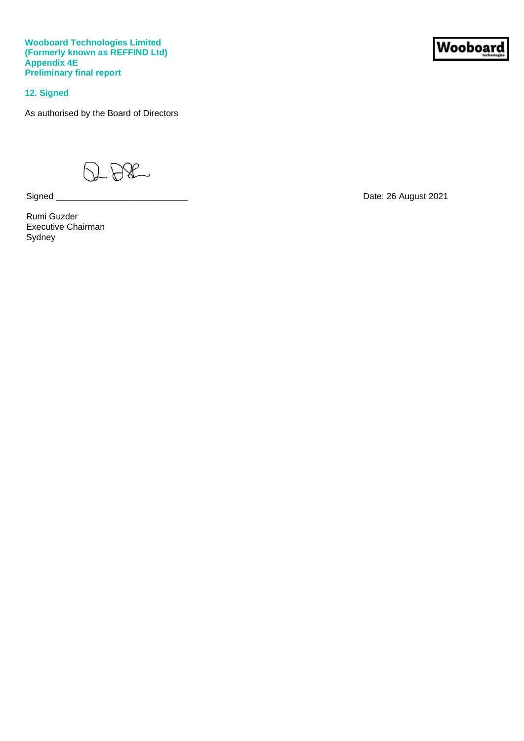**Wooboard Technologies Limited (Formerly known as REFFIND Ltd) Appendix 4E Preliminary final report**

**12. Signed**

As authorised by the Board of Directors

 $-B8$ 

Rumi Guzder Executive Chairman Sydney

**Wooboar** 

Signed \_\_\_\_\_\_\_\_\_\_\_\_\_\_\_\_\_\_\_\_\_\_\_\_\_\_\_ Date: 26 August 2021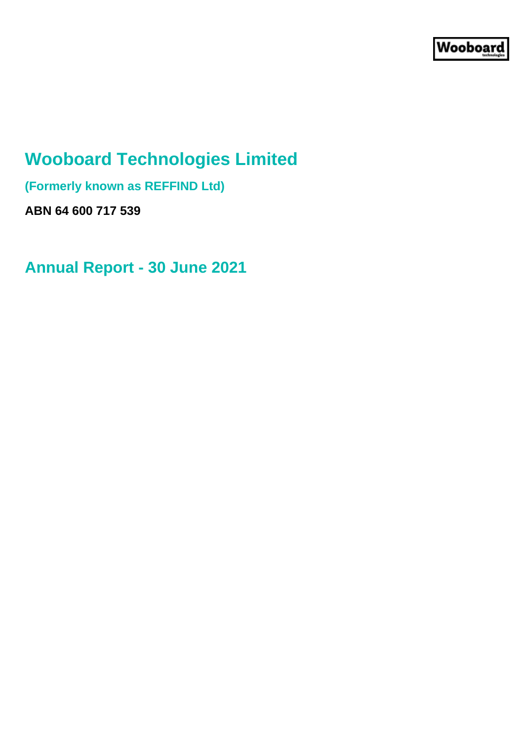# **Wooboard Technologies Limited**

**(Formerly known as REFFIND Ltd)**

**ABN 64 600 717 539**

**Annual Report - 30 June 2021**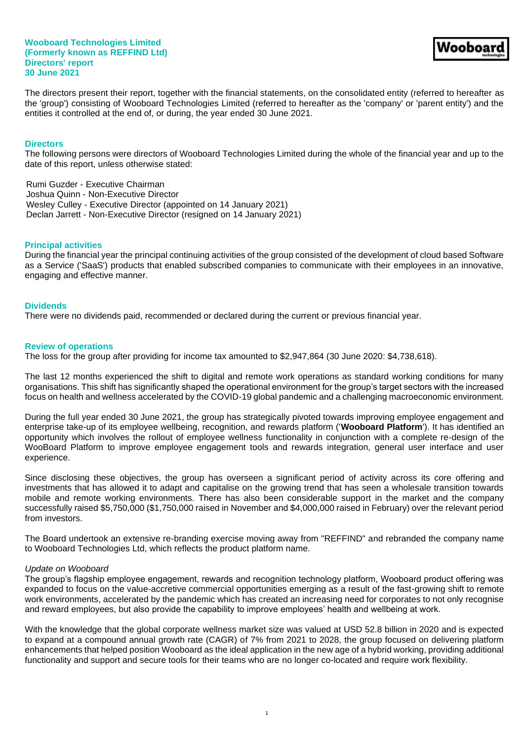The directors present their report, together with the financial statements, on the consolidated entity (referred to hereafter as the 'group') consisting of Wooboard Technologies Limited (referred to hereafter as the 'company' or 'parent entity') and the entities it controlled at the end of, or during, the year ended 30 June 2021.

## **Directors**

The following persons were directors of Wooboard Technologies Limited during the whole of the financial year and up to the date of this report, unless otherwise stated:

Rumi Guzder - Executive Chairman Joshua Quinn - Non-Executive Director Wesley Culley - Executive Director (appointed on 14 January 2021) Declan Jarrett - Non-Executive Director (resigned on 14 January 2021)

#### **Principal activities**

During the financial year the principal continuing activities of the group consisted of the development of cloud based Software as a Service ('SaaS') products that enabled subscribed companies to communicate with their employees in an innovative, engaging and effective manner.

#### **Dividends**

There were no dividends paid, recommended or declared during the current or previous financial year.

#### **Review of operations**

The loss for the group after providing for income tax amounted to \$2,947,864 (30 June 2020: \$4,738,618).

The last 12 months experienced the shift to digital and remote work operations as standard working conditions for many organisations. This shift has significantly shaped the operational environment for the group's target sectors with the increased focus on health and wellness accelerated by the COVID-19 global pandemic and a challenging macroeconomic environment.

During the full year ended 30 June 2021, the group has strategically pivoted towards improving employee engagement and enterprise take-up of its employee wellbeing, recognition, and rewards platform ('**Wooboard Platform**'). It has identified an opportunity which involves the rollout of employee wellness functionality in conjunction with a complete re-design of the WooBoard Platform to improve employee engagement tools and rewards integration, general user interface and user experience.

Since disclosing these objectives, the group has overseen a significant period of activity across its core offering and investments that has allowed it to adapt and capitalise on the growing trend that has seen a wholesale transition towards mobile and remote working environments. There has also been considerable support in the market and the company successfully raised \$5,750,000 (\$1,750,000 raised in November and \$4,000,000 raised in February) over the relevant period from investors.

The Board undertook an extensive re-branding exercise moving away from "REFFIND" and rebranded the company name to Wooboard Technologies Ltd, which reflects the product platform name.

#### *Update on Wooboard*

The group's flagship employee engagement, rewards and recognition technology platform, Wooboard product offering was expanded to focus on the value-accretive commercial opportunities emerging as a result of the fast-growing shift to remote work environments, accelerated by the pandemic which has created an increasing need for corporates to not only recognise and reward employees, but also provide the capability to improve employees' health and wellbeing at work.

With the knowledge that the global corporate wellness market size was valued at USD 52.8 billion in 2020 and is expected to expand at a compound annual growth rate (CAGR) of 7% from 2021 to 2028, the group focused on delivering platform enhancements that helped position Wooboard as the ideal application in the new age of a hybrid working, providing additional functionality and support and secure tools for their teams who are no longer co-located and require work flexibility.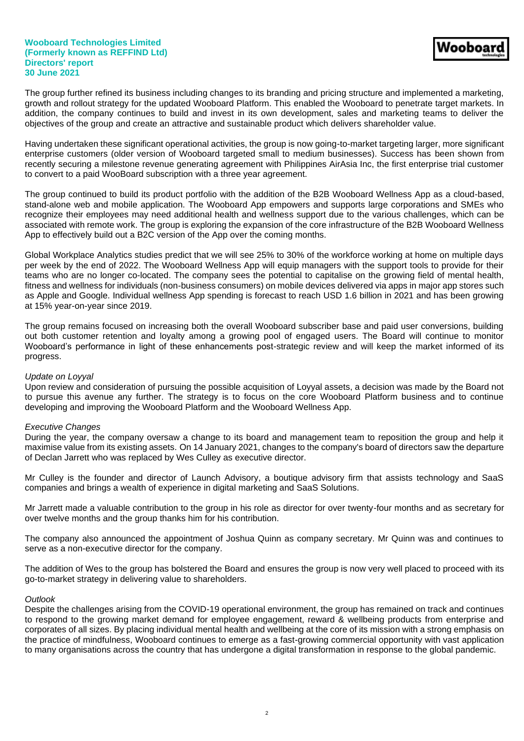The group further refined its business including changes to its branding and pricing structure and implemented a marketing, growth and rollout strategy for the updated Wooboard Platform. This enabled the Wooboard to penetrate target markets. In addition, the company continues to build and invest in its own development, sales and marketing teams to deliver the objectives of the group and create an attractive and sustainable product which delivers shareholder value.

Having undertaken these significant operational activities, the group is now going-to-market targeting larger, more significant enterprise customers (older version of Wooboard targeted small to medium businesses). Success has been shown from recently securing a milestone revenue generating agreement with Philippines AirAsia Inc, the first enterprise trial customer to convert to a paid WooBoard subscription with a three year agreement.

The group continued to build its product portfolio with the addition of the B2B Wooboard Wellness App as a cloud-based, stand-alone web and mobile application. The Wooboard App empowers and supports large corporations and SMEs who recognize their employees may need additional health and wellness support due to the various challenges, which can be associated with remote work. The group is exploring the expansion of the core infrastructure of the B2B Wooboard Wellness App to effectively build out a B2C version of the App over the coming months.

Global Workplace Analytics studies predict that we will see 25% to 30% of the workforce working at home on multiple days per week by the end of 2022. The Wooboard Wellness App will equip managers with the support tools to provide for their teams who are no longer co-located. The company sees the potential to capitalise on the growing field of mental health, fitness and wellness for individuals (non-business consumers) on mobile devices delivered via apps in major app stores such as Apple and Google. Individual wellness App spending is forecast to reach USD 1.6 billion in 2021 and has been growing at 15% year-on-year since 2019.

The group remains focused on increasing both the overall Wooboard subscriber base and paid user conversions, building out both customer retention and loyalty among a growing pool of engaged users. The Board will continue to monitor Wooboard's performance in light of these enhancements post-strategic review and will keep the market informed of its progress.

## *Update on Loyyal*

Upon review and consideration of pursuing the possible acquisition of Loyyal assets, a decision was made by the Board not to pursue this avenue any further. The strategy is to focus on the core Wooboard Platform business and to continue developing and improving the Wooboard Platform and the Wooboard Wellness App.

## *Executive Changes*

During the year, the company oversaw a change to its board and management team to reposition the group and help it maximise value from its existing assets. On 14 January 2021, changes to the company's board of directors saw the departure of Declan Jarrett who was replaced by Wes Culley as executive director.

Mr Culley is the founder and director of Launch Advisory, a boutique advisory firm that assists technology and SaaS companies and brings a wealth of experience in digital marketing and SaaS Solutions.

Mr Jarrett made a valuable contribution to the group in his role as director for over twenty-four months and as secretary for over twelve months and the group thanks him for his contribution.

The company also announced the appointment of Joshua Quinn as company secretary. Mr Quinn was and continues to serve as a non-executive director for the company.

The addition of Wes to the group has bolstered the Board and ensures the group is now very well placed to proceed with its go-to-market strategy in delivering value to shareholders.

## *Outlook*

Despite the challenges arising from the COVID-19 operational environment, the group has remained on track and continues to respond to the growing market demand for employee engagement, reward & wellbeing products from enterprise and corporates of all sizes. By placing individual mental health and wellbeing at the core of its mission with a strong emphasis on the practice of mindfulness, Wooboard continues to emerge as a fast-growing commercial opportunity with vast application to many organisations across the country that has undergone a digital transformation in response to the global pandemic.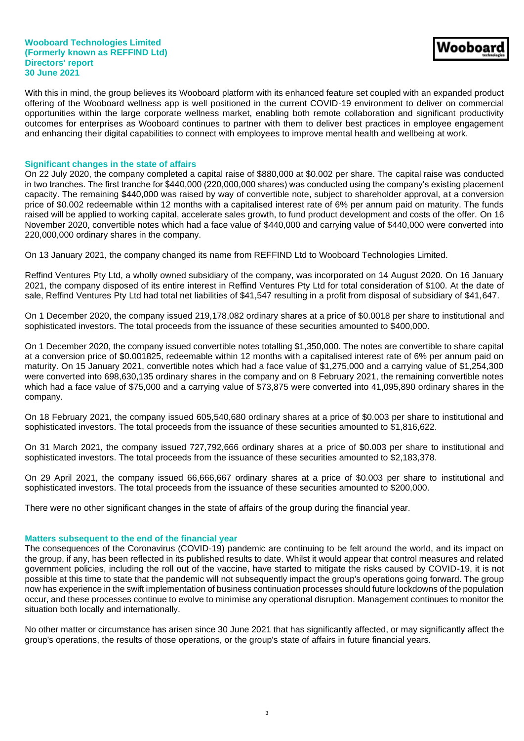With this in mind, the group believes its Wooboard platform with its enhanced feature set coupled with an expanded product offering of the Wooboard wellness app is well positioned in the current COVID-19 environment to deliver on commercial opportunities within the large corporate wellness market, enabling both remote collaboration and significant productivity outcomes for enterprises as Wooboard continues to partner with them to deliver best practices in employee engagement and enhancing their digital capabilities to connect with employees to improve mental health and wellbeing at work.

## **Significant changes in the state of affairs**

On 22 July 2020, the company completed a capital raise of \$880,000 at \$0.002 per share. The capital raise was conducted in two tranches. The first tranche for \$440,000 (220,000,000 shares) was conducted using the company's existing placement capacity. The remaining \$440,000 was raised by way of convertible note, subject to shareholder approval, at a conversion price of \$0.002 redeemable within 12 months with a capitalised interest rate of 6% per annum paid on maturity. The funds raised will be applied to working capital, accelerate sales growth, to fund product development and costs of the offer. On 16 November 2020, convertible notes which had a face value of \$440,000 and carrying value of \$440,000 were converted into 220,000,000 ordinary shares in the company.

On 13 January 2021, the company changed its name from REFFIND Ltd to Wooboard Technologies Limited.

Reffind Ventures Pty Ltd, a wholly owned subsidiary of the company, was incorporated on 14 August 2020. On 16 January 2021, the company disposed of its entire interest in Reffind Ventures Pty Ltd for total consideration of \$100. At the date of sale, Reffind Ventures Pty Ltd had total net liabilities of \$41,547 resulting in a profit from disposal of subsidiary of \$41,647.

On 1 December 2020, the company issued 219,178,082 ordinary shares at a price of \$0.0018 per share to institutional and sophisticated investors. The total proceeds from the issuance of these securities amounted to \$400,000.

On 1 December 2020, the company issued convertible notes totalling \$1,350,000. The notes are convertible to share capital at a conversion price of \$0.001825, redeemable within 12 months with a capitalised interest rate of 6% per annum paid on maturity. On 15 January 2021, convertible notes which had a face value of \$1,275,000 and a carrying value of \$1,254,300 were converted into 698,630,135 ordinary shares in the company and on 8 February 2021, the remaining convertible notes which had a face value of \$75,000 and a carrying value of \$73,875 were converted into 41,095,890 ordinary shares in the company.

On 18 February 2021, the company issued 605,540,680 ordinary shares at a price of \$0.003 per share to institutional and sophisticated investors. The total proceeds from the issuance of these securities amounted to \$1,816,622.

On 31 March 2021, the company issued 727,792,666 ordinary shares at a price of \$0.003 per share to institutional and sophisticated investors. The total proceeds from the issuance of these securities amounted to \$2,183,378.

On 29 April 2021, the company issued 66,666,667 ordinary shares at a price of \$0.003 per share to institutional and sophisticated investors. The total proceeds from the issuance of these securities amounted to \$200,000.

There were no other significant changes in the state of affairs of the group during the financial year.

## **Matters subsequent to the end of the financial year**

The consequences of the Coronavirus (COVID-19) pandemic are continuing to be felt around the world, and its impact on the group, if any, has been reflected in its published results to date. Whilst it would appear that control measures and related government policies, including the roll out of the vaccine, have started to mitigate the risks caused by COVID-19, it is not possible at this time to state that the pandemic will not subsequently impact the group's operations going forward. The group now has experience in the swift implementation of business continuation processes should future lockdowns of the population occur, and these processes continue to evolve to minimise any operational disruption. Management continues to monitor the situation both locally and internationally.

No other matter or circumstance has arisen since 30 June 2021 that has significantly affected, or may significantly affect the group's operations, the results of those operations, or the group's state of affairs in future financial years.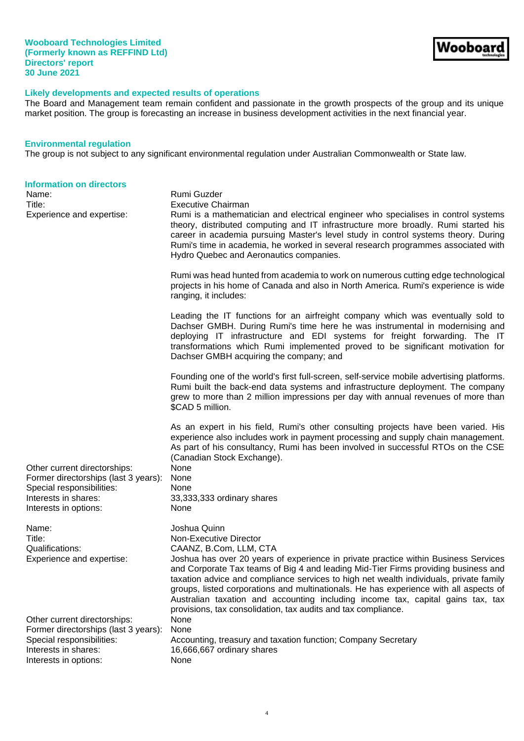# **Likely developments and expected results of operations**

The Board and Management team remain confident and passionate in the growth prospects of the group and its unique market position. The group is forecasting an increase in business development activities in the next financial year.

## **Environmental regulation**

The group is not subject to any significant environmental regulation under Australian Commonwealth or State law.

| <b>Information on directors</b><br>Name:<br>Title:<br>Experience and expertise:                                                                    | Rumi Guzder<br><b>Executive Chairman</b><br>Rumi is a mathematician and electrical engineer who specialises in control systems<br>theory, distributed computing and IT infrastructure more broadly. Rumi started his<br>career in academia pursuing Master's level study in control systems theory. During<br>Rumi's time in academia, he worked in several research programmes associated with<br>Hydro Quebec and Aeronautics companies.                                                                                                                                           |
|----------------------------------------------------------------------------------------------------------------------------------------------------|--------------------------------------------------------------------------------------------------------------------------------------------------------------------------------------------------------------------------------------------------------------------------------------------------------------------------------------------------------------------------------------------------------------------------------------------------------------------------------------------------------------------------------------------------------------------------------------|
|                                                                                                                                                    | Rumi was head hunted from academia to work on numerous cutting edge technological<br>projects in his home of Canada and also in North America. Rumi's experience is wide<br>ranging, it includes:                                                                                                                                                                                                                                                                                                                                                                                    |
|                                                                                                                                                    | Leading the IT functions for an airfreight company which was eventually sold to<br>Dachser GMBH. During Rumi's time here he was instrumental in modernising and<br>deploying IT infrastructure and EDI systems for freight forwarding. The IT<br>transformations which Rumi implemented proved to be significant motivation for<br>Dachser GMBH acquiring the company; and                                                                                                                                                                                                           |
|                                                                                                                                                    | Founding one of the world's first full-screen, self-service mobile advertising platforms.<br>Rumi built the back-end data systems and infrastructure deployment. The company<br>grew to more than 2 million impressions per day with annual revenues of more than<br>\$CAD 5 million.                                                                                                                                                                                                                                                                                                |
| Other current directorships:<br>Former directorships (last 3 years):<br>Special responsibilities:<br>Interests in shares:<br>Interests in options: | As an expert in his field, Rumi's other consulting projects have been varied. His<br>experience also includes work in payment processing and supply chain management.<br>As part of his consultancy, Rumi has been involved in successful RTOs on the CSE<br>(Canadian Stock Exchange).<br>None<br>None<br>None<br>33,333,333 ordinary shares<br>None                                                                                                                                                                                                                                |
| Name:<br>Title:<br>Qualifications:<br>Experience and expertise:                                                                                    | Joshua Quinn<br>Non-Executive Director<br>CAANZ, B.Com, LLM, CTA<br>Joshua has over 20 years of experience in private practice within Business Services<br>and Corporate Tax teams of Big 4 and leading Mid-Tier Firms providing business and<br>taxation advice and compliance services to high net wealth individuals, private family<br>groups, listed corporations and multinationals. He has experience with all aspects of<br>Australian taxation and accounting including income tax, capital gains tax, tax<br>provisions, tax consolidation, tax audits and tax compliance. |
| Other current directorships:<br>Former directorships (last 3 years):<br>Special responsibilities:<br>Interests in shares:<br>Interests in options: | None<br>None<br>Accounting, treasury and taxation function; Company Secretary<br>16,666,667 ordinary shares<br>None                                                                                                                                                                                                                                                                                                                                                                                                                                                                  |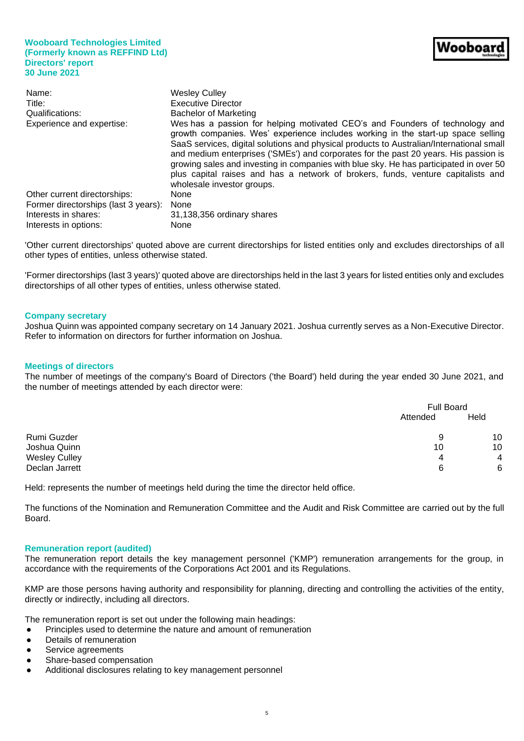| Name:<br>Title:<br>Qualifications:<br><b>Experience and expertise:</b> | <b>Wesley Culley</b><br>Executive Director<br>Bachelor of Marketing<br>Wes has a passion for helping motivated CEO's and Founders of technology and<br>growth companies. Wes' experience includes working in the start-up space selling<br>SaaS services, digital solutions and physical products to Australian/International small<br>and medium enterprises ('SMEs') and corporates for the past 20 years. His passion is<br>growing sales and investing in companies with blue sky. He has participated in over 50<br>plus capital raises and has a network of brokers, funds, venture capitalists and |
|------------------------------------------------------------------------|-----------------------------------------------------------------------------------------------------------------------------------------------------------------------------------------------------------------------------------------------------------------------------------------------------------------------------------------------------------------------------------------------------------------------------------------------------------------------------------------------------------------------------------------------------------------------------------------------------------|
| Other current directorships:                                           | wholesale investor groups.<br>None                                                                                                                                                                                                                                                                                                                                                                                                                                                                                                                                                                        |
| Former directorships (last 3 years):                                   | None                                                                                                                                                                                                                                                                                                                                                                                                                                                                                                                                                                                                      |
| Interests in shares:                                                   | 31,138,356 ordinary shares                                                                                                                                                                                                                                                                                                                                                                                                                                                                                                                                                                                |
| Interests in options:                                                  | None                                                                                                                                                                                                                                                                                                                                                                                                                                                                                                                                                                                                      |

'Other current directorships' quoted above are current directorships for listed entities only and excludes directorships of all other types of entities, unless otherwise stated.

'Former directorships (last 3 years)' quoted above are directorships held in the last 3 years for listed entities only and excludes directorships of all other types of entities, unless otherwise stated.

#### **Company secretary**

Joshua Quinn was appointed company secretary on 14 January 2021. Joshua currently serves as a Non-Executive Director. Refer to information on directors for further information on Joshua.

#### **Meetings of directors**

The number of meetings of the company's Board of Directors ('the Board') held during the year ended 30 June 2021, and the number of meetings attended by each director were:

|                      |          | <b>Full Board</b> |  |  |
|----------------------|----------|-------------------|--|--|
|                      | Attended | Held              |  |  |
| Rumi Guzder          | 9        | 10                |  |  |
| Joshua Quinn         | 10       | 10                |  |  |
| <b>Wesley Culley</b> | 4        | $\overline{4}$    |  |  |
| Declan Jarrett       | 6        | 6                 |  |  |

Held: represents the number of meetings held during the time the director held office.

The functions of the Nomination and Remuneration Committee and the Audit and Risk Committee are carried out by the full Board.

#### **Remuneration report (audited)**

The remuneration report details the key management personnel ('KMP') remuneration arrangements for the group, in accordance with the requirements of the Corporations Act 2001 and its Regulations.

KMP are those persons having authority and responsibility for planning, directing and controlling the activities of the entity, directly or indirectly, including all directors.

The remuneration report is set out under the following main headings:

- Principles used to determine the nature and amount of remuneration
- Details of remuneration
- Service agreements
- Share-based compensation
- Additional disclosures relating to key management personnel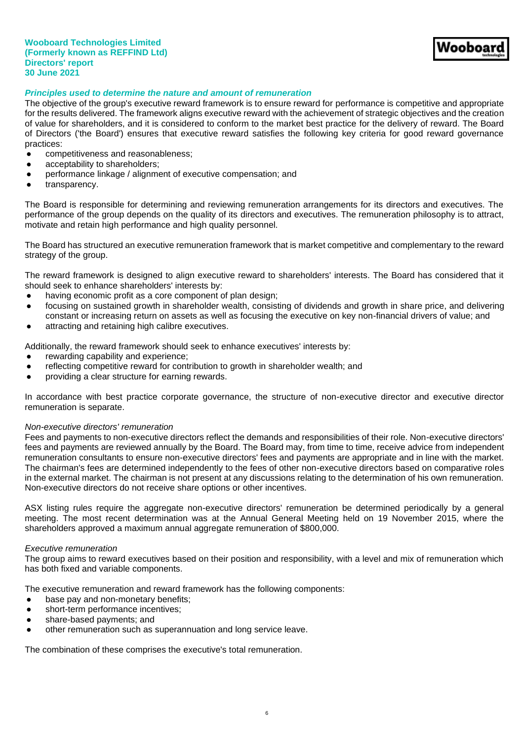Vooboaı

## *Principles used to determine the nature and amount of remuneration*

The objective of the group's executive reward framework is to ensure reward for performance is competitive and appropriate for the results delivered. The framework aligns executive reward with the achievement of strategic objectives and the creation of value for shareholders, and it is considered to conform to the market best practice for the delivery of reward. The Board of Directors ('the Board') ensures that executive reward satisfies the following key criteria for good reward governance practices:

- competitiveness and reasonableness;
- acceptability to shareholders;
- performance linkage / alignment of executive compensation; and
- transparency.

The Board is responsible for determining and reviewing remuneration arrangements for its directors and executives. The performance of the group depends on the quality of its directors and executives. The remuneration philosophy is to attract, motivate and retain high performance and high quality personnel.

The Board has structured an executive remuneration framework that is market competitive and complementary to the reward strategy of the group.

The reward framework is designed to align executive reward to shareholders' interests. The Board has considered that it should seek to enhance shareholders' interests by:

- having economic profit as a core component of plan design;
- focusing on sustained growth in shareholder wealth, consisting of dividends and growth in share price, and delivering constant or increasing return on assets as well as focusing the executive on key non-financial drivers of value; and
- attracting and retaining high calibre executives.

Additionally, the reward framework should seek to enhance executives' interests by:

- rewarding capability and experience;
- reflecting competitive reward for contribution to growth in shareholder wealth; and
- providing a clear structure for earning rewards.

In accordance with best practice corporate governance, the structure of non-executive director and executive director remuneration is separate.

#### *Non-executive directors' remuneration*

Fees and payments to non-executive directors reflect the demands and responsibilities of their role. Non-executive directors' fees and payments are reviewed annually by the Board. The Board may, from time to time, receive advice from independent remuneration consultants to ensure non-executive directors' fees and payments are appropriate and in line with the market. The chairman's fees are determined independently to the fees of other non-executive directors based on comparative roles in the external market. The chairman is not present at any discussions relating to the determination of his own remuneration. Non-executive directors do not receive share options or other incentives.

ASX listing rules require the aggregate non-executive directors' remuneration be determined periodically by a general meeting. The most recent determination was at the Annual General Meeting held on 19 November 2015, where the shareholders approved a maximum annual aggregate remuneration of \$800,000.

#### *Executive remuneration*

The group aims to reward executives based on their position and responsibility, with a level and mix of remuneration which has both fixed and variable components.

The executive remuneration and reward framework has the following components:

- base pay and non-monetary benefits;
- short-term performance incentives;
- share-based payments; and
- other remuneration such as superannuation and long service leave.

The combination of these comprises the executive's total remuneration.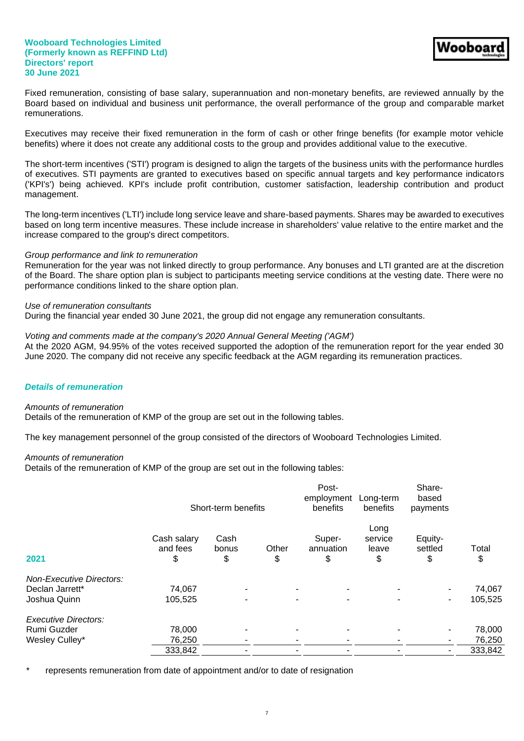Fixed remuneration, consisting of base salary, superannuation and non-monetary benefits, are reviewed annually by the Board based on individual and business unit performance, the overall performance of the group and comparable market remunerations.

Executives may receive their fixed remuneration in the form of cash or other fringe benefits (for example motor vehicle benefits) where it does not create any additional costs to the group and provides additional value to the executive.

The short-term incentives ('STI') program is designed to align the targets of the business units with the performance hurdles of executives. STI payments are granted to executives based on specific annual targets and key performance indicators ('KPI's') being achieved. KPI's include profit contribution, customer satisfaction, leadership contribution and product management.

The long-term incentives ('LTI') include long service leave and share-based payments. Shares may be awarded to executives based on long term incentive measures. These include increase in shareholders' value relative to the entire market and the increase compared to the group's direct competitors.

#### *Group performance and link to remuneration*

Remuneration for the year was not linked directly to group performance. Any bonuses and LTI granted are at the discretion of the Board. The share option plan is subject to participants meeting service conditions at the vesting date. There were no performance conditions linked to the share option plan.

#### *Use of remuneration consultants*

During the financial year ended 30 June 2021, the group did not engage any remuneration consultants.

## *Voting and comments made at the company's 2020 Annual General Meeting ('AGM')*

At the 2020 AGM, 94.95% of the votes received supported the adoption of the remuneration report for the year ended 30 June 2020. The company did not receive any specific feedback at the AGM regarding its remuneration practices.

## *Details of remuneration*

#### *Amounts of remuneration*

Details of the remuneration of KMP of the group are set out in the following tables.

The key management personnel of the group consisted of the directors of Wooboard Technologies Limited.

#### *Amounts of remuneration*

Details of the remuneration of KMP of the group are set out in the following tables:

|                                 |                               | Short-term benefits      |             | Post-<br>employment<br>benefits            | Long-term<br>benefits          | Share-<br>based<br>payments |             |
|---------------------------------|-------------------------------|--------------------------|-------------|--------------------------------------------|--------------------------------|-----------------------------|-------------|
| 2021                            | Cash salary<br>and fees<br>\$ | Cash<br>bonus<br>\$      | Other<br>\$ | Super-<br>annuation<br>\$                  | Long<br>service<br>leave<br>\$ | Equity-<br>settled<br>\$    | Total<br>\$ |
| <b>Non-Executive Directors:</b> |                               |                          |             |                                            |                                |                             |             |
| Declan Jarrett*                 | 74,067                        |                          |             | $\blacksquare$<br>$\overline{\phantom{a}}$ | ۰                              |                             | 74,067      |
| Joshua Quinn                    | 105,525                       | $\overline{\phantom{a}}$ |             | $\sim$<br>$\blacksquare$                   | ٠                              | ٠                           | 105,525     |
| <b>Executive Directors:</b>     |                               |                          |             |                                            |                                |                             |             |
| Rumi Guzder                     | 78,000                        | ۰                        |             | $\blacksquare$<br>$\blacksquare$           | ۰                              | ٠.                          | 78,000      |
| Wesley Culley*                  | 76,250                        |                          |             | ۰<br>۰                                     | ۰                              | ٠.                          | 76,250      |
|                                 | 333,842                       |                          |             |                                            |                                | ۰.                          | 333,842     |

represents remuneration from date of appointment and/or to date of resignation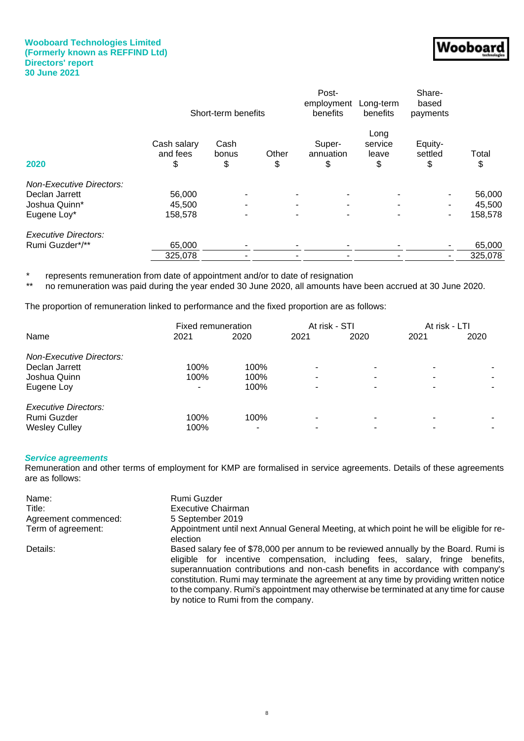| 'W.                 |
|---------------------|
| l<br>oDt<br>92<br>m |
|                     |
|                     |

|                                 |                               | Short-term benefits |             | Post-<br>employment<br>benefits | Long-term<br>benefits          | Share-<br>based<br>payments |             |
|---------------------------------|-------------------------------|---------------------|-------------|---------------------------------|--------------------------------|-----------------------------|-------------|
| 2020                            | Cash salary<br>and fees<br>\$ | Cash<br>bonus<br>\$ | Other<br>\$ | Super-<br>annuation<br>\$       | Long<br>service<br>leave<br>\$ | Equity-<br>settled<br>\$    | Total<br>\$ |
| <b>Non-Executive Directors:</b> |                               |                     |             |                                 |                                |                             |             |
| Declan Jarrett                  | 56,000                        | ٠                   |             | $\overline{\phantom{a}}$        |                                |                             | 56,000      |
| Joshua Quinn*                   | 45,500                        | $\blacksquare$      |             | $\blacksquare$<br>۰             |                                |                             | 45,500      |
| Eugene Loy*                     | 158,578                       | $\blacksquare$      |             | $\overline{\phantom{a}}$<br>۰   | ٠                              | ٠                           | 158,578     |
| <b>Executive Directors:</b>     |                               |                     |             |                                 |                                |                             |             |
| Rumi Guzder*/**                 | 65,000                        | ٠                   |             | $\blacksquare$<br>۰             |                                | ۰                           | 65,000      |
|                                 | 325,078                       |                     |             |                                 |                                |                             | 325,078     |
|                                 |                               |                     |             |                                 |                                |                             |             |

\* represents remuneration from date of appointment and/or to date of resignation<br>\*\* po remuneration was paid during the year ended 30 June 2020, all amounts have

no remuneration was paid during the year ended 30 June 2020, all amounts have been accrued at 30 June 2020.

The proportion of remuneration linked to performance and the fixed proportion are as follows:

|                                 | Fixed remuneration |      | At risk - STI            |                          | At risk - LTI |      |
|---------------------------------|--------------------|------|--------------------------|--------------------------|---------------|------|
| Name                            | 2021               | 2020 | 2021                     | 2020                     | 2021          | 2020 |
| <b>Non-Executive Directors:</b> |                    |      |                          |                          |               |      |
| Declan Jarrett                  | 100%               | 100% | ٠                        | $\overline{\phantom{0}}$ |               |      |
| Joshua Quinn                    | 100%               | 100% | $\overline{\phantom{0}}$ | $\blacksquare$           |               | ۰.   |
| Eugene Loy                      | ۰                  | 100% | ٠                        | ۰                        |               | ۰.   |
| Executive Directors:            |                    |      |                          |                          |               |      |
| Rumi Guzder                     | 100%               | 100% | $\overline{\phantom{0}}$ | $\blacksquare$           |               |      |
| <b>Wesley Culley</b>            | 100%               |      |                          |                          |               |      |

## *Service agreements*

Remuneration and other terms of employment for KMP are formalised in service agreements. Details of these agreements are as follows:

| Name:                | Rumi Guzder                                                                                                                                                                                                                                                                                                                                                                                                                                                                       |
|----------------------|-----------------------------------------------------------------------------------------------------------------------------------------------------------------------------------------------------------------------------------------------------------------------------------------------------------------------------------------------------------------------------------------------------------------------------------------------------------------------------------|
| Title:               | <b>Executive Chairman</b>                                                                                                                                                                                                                                                                                                                                                                                                                                                         |
| Agreement commenced: | 5 September 2019                                                                                                                                                                                                                                                                                                                                                                                                                                                                  |
| Term of agreement:   | Appointment until next Annual General Meeting, at which point he will be eligible for re-<br>election                                                                                                                                                                                                                                                                                                                                                                             |
| Details:             | Based salary fee of \$78,000 per annum to be reviewed annually by the Board. Rumi is<br>eligible for incentive compensation, including fees, salary, fringe benefits,<br>superannuation contributions and non-cash benefits in accordance with company's<br>constitution. Rumi may terminate the agreement at any time by providing written notice<br>to the company. Rumi's appointment may otherwise be terminated at any time for cause<br>by notice to Rumi from the company. |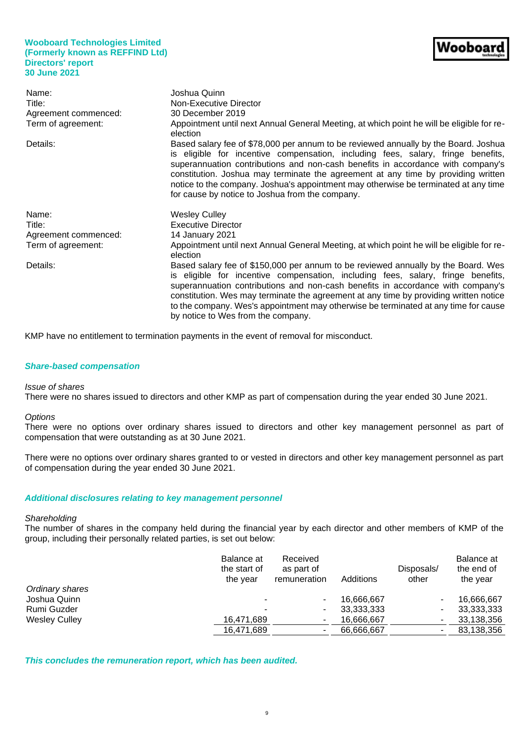| Name:                | Joshua Quinn                                                                                                                                                                                                                                                                                                                                                                                                                                                                              |
|----------------------|-------------------------------------------------------------------------------------------------------------------------------------------------------------------------------------------------------------------------------------------------------------------------------------------------------------------------------------------------------------------------------------------------------------------------------------------------------------------------------------------|
| Title:               | Non-Executive Director                                                                                                                                                                                                                                                                                                                                                                                                                                                                    |
| Agreement commenced: | 30 December 2019                                                                                                                                                                                                                                                                                                                                                                                                                                                                          |
| Term of agreement:   | Appointment until next Annual General Meeting, at which point he will be eligible for re-<br>election                                                                                                                                                                                                                                                                                                                                                                                     |
| Details:             | Based salary fee of \$78,000 per annum to be reviewed annually by the Board. Joshua<br>is eligible for incentive compensation, including fees, salary, fringe benefits,<br>superannuation contributions and non-cash benefits in accordance with company's<br>constitution. Joshua may terminate the agreement at any time by providing written<br>notice to the company. Joshua's appointment may otherwise be terminated at any time<br>for cause by notice to Joshua from the company. |
| Name:                | <b>Wesley Culley</b>                                                                                                                                                                                                                                                                                                                                                                                                                                                                      |
| Title:               | <b>Executive Director</b>                                                                                                                                                                                                                                                                                                                                                                                                                                                                 |
| Agreement commenced: | 14 January 2021                                                                                                                                                                                                                                                                                                                                                                                                                                                                           |
| Term of agreement:   | Appointment until next Annual General Meeting, at which point he will be eligible for re-<br>election                                                                                                                                                                                                                                                                                                                                                                                     |
| Details:             | Based salary fee of \$150,000 per annum to be reviewed annually by the Board. Wes<br>is eligible for incentive compensation, including fees, salary, fringe benefits,<br>superannuation contributions and non-cash benefits in accordance with company's<br>constitution. Wes may terminate the agreement at any time by providing written notice<br>to the company. Wes's appointment may otherwise be terminated at any time for cause                                                  |

KMP have no entitlement to termination payments in the event of removal for misconduct.

# *Share-based compensation*

## *Issue of shares*

There were no shares issued to directors and other KMP as part of compensation during the year ended 30 June 2021.

#### *Options*

There were no options over ordinary shares issued to directors and other key management personnel as part of compensation that were outstanding as at 30 June 2021.

There were no options over ordinary shares granted to or vested in directors and other key management personnel as part of compensation during the year ended 30 June 2021.

## *Additional disclosures relating to key management personnel*

#### *Shareholding*

The number of shares in the company held during the financial year by each director and other members of KMP of the group, including their personally related parties, is set out below:

|                      | Balance at<br>the start of<br>the year | Received<br>as part of<br>remuneration | Additions    | Disposals/<br>other | Balance at<br>the end of<br>the year |
|----------------------|----------------------------------------|----------------------------------------|--------------|---------------------|--------------------------------------|
| Ordinary shares      |                                        |                                        |              |                     |                                      |
| Joshua Quinn         |                                        |                                        | 16.666.667   |                     | 16,666,667                           |
| Rumi Guzder          | ۰                                      |                                        | 33, 333, 333 |                     | 33,333,333                           |
| <b>Wesley Culley</b> | 16,471,689                             | ۰                                      | 16,666,667   |                     | 33,138,356                           |
|                      | 16,471,689                             |                                        | 66,666,667   |                     | 83,138,356                           |
|                      |                                        |                                        |              |                     |                                      |

*This concludes the remuneration report, which has been audited.*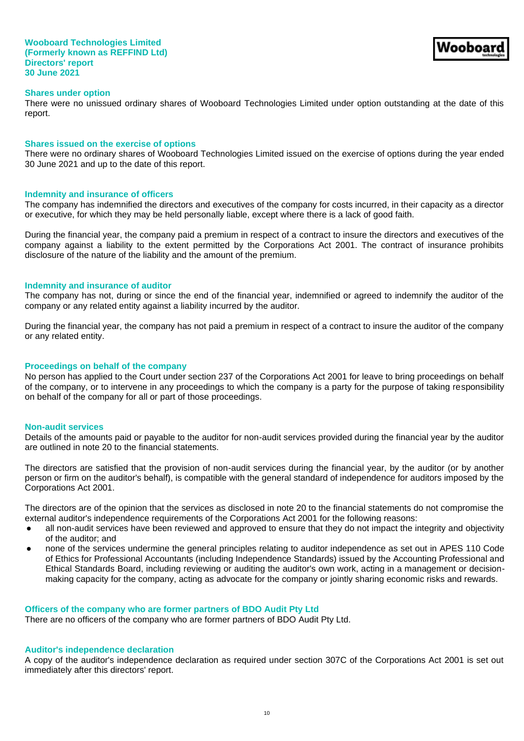There were no unissued ordinary shares of Wooboard Technologies Limited under option outstanding at the date of this report.

Nooboaı

#### **Shares issued on the exercise of options**

There were no ordinary shares of Wooboard Technologies Limited issued on the exercise of options during the year ended 30 June 2021 and up to the date of this report.

#### **Indemnity and insurance of officers**

The company has indemnified the directors and executives of the company for costs incurred, in their capacity as a director or executive, for which they may be held personally liable, except where there is a lack of good faith.

During the financial year, the company paid a premium in respect of a contract to insure the directors and executives of the company against a liability to the extent permitted by the Corporations Act 2001. The contract of insurance prohibits disclosure of the nature of the liability and the amount of the premium.

#### **Indemnity and insurance of auditor**

The company has not, during or since the end of the financial year, indemnified or agreed to indemnify the auditor of the company or any related entity against a liability incurred by the auditor.

During the financial year, the company has not paid a premium in respect of a contract to insure the auditor of the company or any related entity.

#### **Proceedings on behalf of the company**

No person has applied to the Court under section 237 of the Corporations Act 2001 for leave to bring proceedings on behalf of the company, or to intervene in any proceedings to which the company is a party for the purpose of taking responsibility on behalf of the company for all or part of those proceedings.

#### **Non-audit services**

Details of the amounts paid or payable to the auditor for non-audit services provided during the financial year by the auditor are outlined in note 20 to the financial statements.

The directors are satisfied that the provision of non-audit services during the financial year, by the auditor (or by another person or firm on the auditor's behalf), is compatible with the general standard of independence for auditors imposed by the Corporations Act 2001.

The directors are of the opinion that the services as disclosed in note 20 to the financial statements do not compromise the external auditor's independence requirements of the Corporations Act 2001 for the following reasons:

- all non-audit services have been reviewed and approved to ensure that they do not impact the integrity and objectivity of the auditor; and
- none of the services undermine the general principles relating to auditor independence as set out in APES 110 Code of Ethics for Professional Accountants (including Independence Standards) issued by the Accounting Professional and Ethical Standards Board, including reviewing or auditing the auditor's own work, acting in a management or decisionmaking capacity for the company, acting as advocate for the company or jointly sharing economic risks and rewards.

#### **Officers of the company who are former partners of BDO Audit Pty Ltd**

There are no officers of the company who are former partners of BDO Audit Pty Ltd.

## **Auditor's independence declaration**

A copy of the auditor's independence declaration as required under section 307C of the Corporations Act 2001 is set out immediately after this directors' report.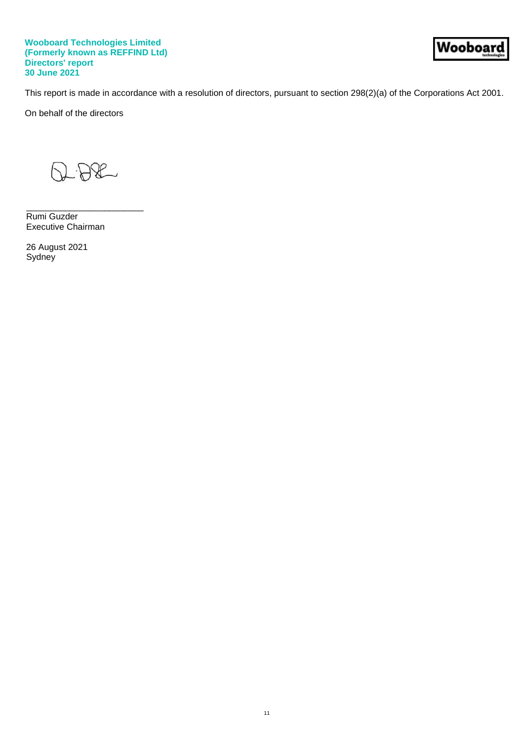Wooboar

This report is made in accordance with a resolution of directors, pursuant to section 298(2)(a) of the Corporations Act 2001.

On behalf of the directors

 $BA$ 

\_\_\_\_\_\_\_\_\_\_\_\_\_\_\_\_\_\_\_\_\_\_\_\_

Rumi Guzder Executive Chairman

26 August 2021 Sydney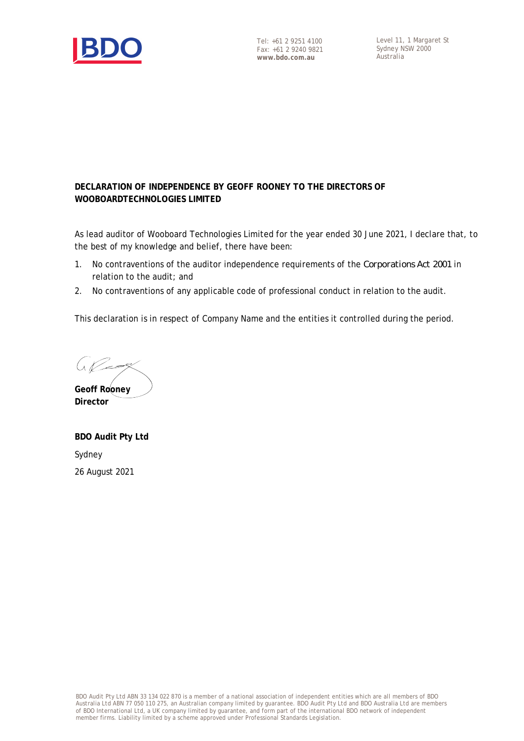

Level 11, 1 Margaret St Sydney NSW 2000 Australia

# **DECLARATION OF INDEPENDENCE BY GEOFF ROONEY TO THE DIRECTORS OF WOOBOARDTECHNOLOGIES LIMITED**

As lead auditor of Wooboard Technologies Limited for the year ended 30 June 2021, I declare that, to the best of my knowledge and belief, there have been:

- 1. No contraventions of the auditor independence requirements of the *Corporations Act 2001* in relation to the audit; and
- 2. No contraventions of any applicable code of professional conduct in relation to the audit.

This declaration is in respect of Company Name and the entities it controlled during the period.

 $U$ 

**Geoff Rooney Director**

**BDO Audit Pty Ltd** Sydney 26 August 2021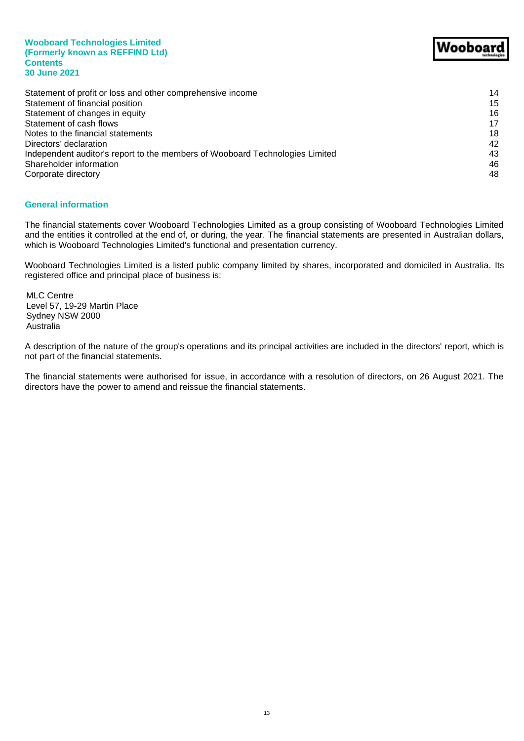**Wooboard Technologies Limited (Formerly known as REFFIND Ltd) Contents 30 June 2021**

| Statement of profit or loss and other comprehensive income                   | 14 |
|------------------------------------------------------------------------------|----|
| Statement of financial position                                              | 15 |
| Statement of changes in equity                                               | 16 |
| Statement of cash flows                                                      | 17 |
| Notes to the financial statements                                            | 18 |
| Directors' declaration                                                       | 42 |
| Independent auditor's report to the members of Wooboard Technologies Limited | 43 |
| Shareholder information                                                      | 46 |
| Corporate directory                                                          | 48 |
|                                                                              |    |

## **General information**

The financial statements cover Wooboard Technologies Limited as a group consisting of Wooboard Technologies Limited and the entities it controlled at the end of, or during, the year. The financial statements are presented in Australian dollars, which is Wooboard Technologies Limited's functional and presentation currency.

Wooboard Technologies Limited is a listed public company limited by shares, incorporated and domiciled in Australia. Its registered office and principal place of business is:

MLC Centre Level 57, 19-29 Martin Place Sydney NSW 2000 Australia

A description of the nature of the group's operations and its principal activities are included in the directors' report, which is not part of the financial statements.

The financial statements were authorised for issue, in accordance with a resolution of directors, on 26 August 2021. The directors have the power to amend and reissue the financial statements.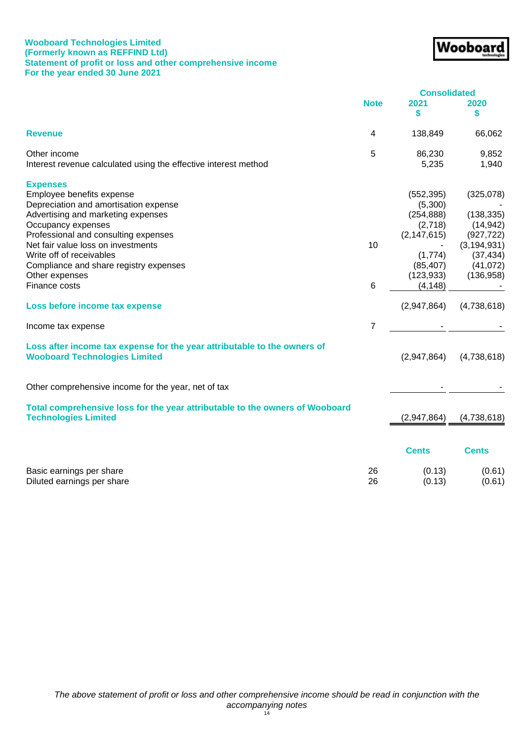## **Wooboard Technologies Limited (Formerly known as REFFIND Ltd) Statement of profit or loss and other comprehensive income For the year ended 30 June 2021**

|                                                                                                                  |             | <b>Consolidated</b> |               |
|------------------------------------------------------------------------------------------------------------------|-------------|---------------------|---------------|
|                                                                                                                  | <b>Note</b> | 2021<br>\$          | 2020<br>\$    |
| <b>Revenue</b>                                                                                                   | 4           | 138,849             | 66,062        |
| Other income                                                                                                     | 5           | 86,230              | 9,852         |
| Interest revenue calculated using the effective interest method                                                  |             | 5,235               | 1,940         |
| <b>Expenses</b>                                                                                                  |             |                     |               |
| Employee benefits expense                                                                                        |             | (552, 395)          | (325,078)     |
| Depreciation and amortisation expense                                                                            |             | (5,300)             |               |
| Advertising and marketing expenses                                                                               |             | (254, 888)          | (138, 335)    |
| Occupancy expenses                                                                                               |             | (2,718)             | (14, 942)     |
| Professional and consulting expenses                                                                             |             | (2, 147, 615)       | (927, 722)    |
| Net fair value loss on investments                                                                               | 10          |                     | (3, 194, 931) |
| Write off of receivables                                                                                         |             | (1,774)             | (37, 434)     |
| Compliance and share registry expenses                                                                           |             | (85, 407)           | (41,072)      |
| Other expenses                                                                                                   |             | (123, 933)          | (136, 958)    |
| Finance costs                                                                                                    | 6           | (4, 148)            |               |
| Loss before income tax expense                                                                                   |             | (2,947,864)         | (4,738,618)   |
| Income tax expense                                                                                               | 7           |                     |               |
| Loss after income tax expense for the year attributable to the owners of<br><b>Wooboard Technologies Limited</b> |             | (2,947,864)         | (4,738,618)   |
| Other comprehensive income for the year, net of tax                                                              |             |                     |               |
| Total comprehensive loss for the year attributable to the owners of Wooboard<br><b>Technologies Limited</b>      |             | (2,947,864)         | (4,738,618)   |
|                                                                                                                  |             |                     |               |
|                                                                                                                  |             | <b>Cents</b>        | <b>Cents</b>  |
| Basic earnings per share                                                                                         | 26          | (0.13)              | (0.61)        |
| Diluted earnings per share                                                                                       | 26          | (0.13)              | (0.61)        |

Wooboard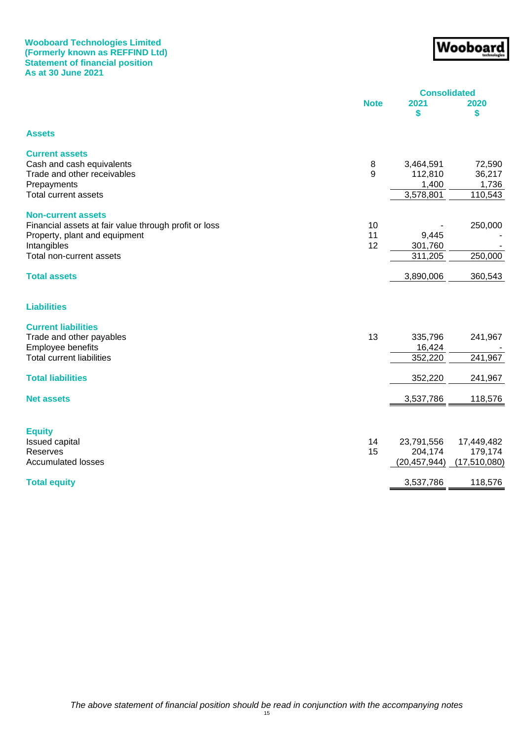## **Wooboard Technologies Limited (Formerly known as REFFIND Ltd) Statement of financial position As at 30 June 2021**

# Wooboarg

|                                                       | <b>Consolidated</b> |                |              |  |
|-------------------------------------------------------|---------------------|----------------|--------------|--|
|                                                       | <b>Note</b>         | 2021<br>\$     | 2020<br>\$   |  |
| <b>Assets</b>                                         |                     |                |              |  |
| <b>Current assets</b>                                 |                     |                |              |  |
| Cash and cash equivalents                             | 8                   | 3,464,591      | 72,590       |  |
| Trade and other receivables                           | 9                   | 112,810        | 36,217       |  |
| Prepayments                                           |                     | 1,400          | 1,736        |  |
| <b>Total current assets</b>                           |                     | 3,578,801      | 110,543      |  |
| <b>Non-current assets</b>                             |                     |                |              |  |
| Financial assets at fair value through profit or loss | 10                  |                | 250,000      |  |
| Property, plant and equipment                         | 11                  | 9,445          |              |  |
| Intangibles                                           | 12                  | 301,760        |              |  |
| Total non-current assets                              |                     | 311,205        | 250,000      |  |
| <b>Total assets</b>                                   |                     | 3,890,006      | 360,543      |  |
| <b>Liabilities</b>                                    |                     |                |              |  |
| <b>Current liabilities</b>                            |                     |                |              |  |
| Trade and other payables                              | 13                  | 335,796        | 241,967      |  |
| Employee benefits                                     |                     | 16,424         |              |  |
| <b>Total current liabilities</b>                      |                     | 352,220        | 241,967      |  |
| <b>Total liabilities</b>                              |                     | 352,220        | 241,967      |  |
| <b>Net assets</b>                                     |                     | 3,537,786      | 118,576      |  |
|                                                       |                     |                |              |  |
| <b>Equity</b>                                         |                     |                |              |  |
| Issued capital                                        | 14                  | 23,791,556     | 17,449,482   |  |
| Reserves                                              | 15                  | 204,174        | 179,174      |  |
| <b>Accumulated losses</b>                             |                     | (20, 457, 944) | (17,510,080) |  |
| <b>Total equity</b>                                   |                     | 3,537,786      | 118,576      |  |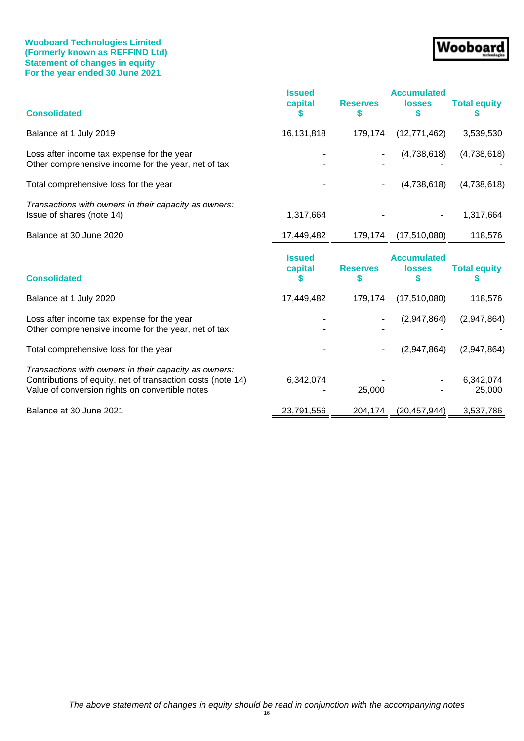## **Wooboard Technologies Limited (Formerly known as REFFIND Ltd) Statement of changes in equity For the year ended 30 June 2021**

# Wooboard

| <b>Consolidated</b>                                                                                                                                                     | <b>Issued</b><br>capital | <b>Reserves</b><br>S | <b>Accumulated</b><br><b>losses</b><br>5 | <b>Total equity</b> |
|-------------------------------------------------------------------------------------------------------------------------------------------------------------------------|--------------------------|----------------------|------------------------------------------|---------------------|
| Balance at 1 July 2019                                                                                                                                                  | 16,131,818               | 179,174              | (12, 771, 462)                           | 3,539,530           |
| Loss after income tax expense for the year<br>Other comprehensive income for the year, net of tax                                                                       |                          |                      | (4,738,618)                              | (4,738,618)         |
| Total comprehensive loss for the year                                                                                                                                   |                          |                      | (4,738,618)                              | (4,738,618)         |
| Transactions with owners in their capacity as owners:<br>Issue of shares (note 14)                                                                                      | 1,317,664                |                      |                                          | 1,317,664           |
| Balance at 30 June 2020                                                                                                                                                 | 17,449,482               | 179,174              | (17,510,080)                             | 118,576             |
| <b>Consolidated</b>                                                                                                                                                     | <b>Issued</b><br>capital | <b>Reserves</b><br>S | <b>Accumulated</b><br><b>losses</b>      | <b>Total equity</b> |
| Balance at 1 July 2020                                                                                                                                                  | 17,449,482               | 179,174              | (17, 510, 080)                           | 118,576             |
| Loss after income tax expense for the year<br>Other comprehensive income for the year, net of tax                                                                       |                          |                      | (2,947,864)                              | (2,947,864)         |
|                                                                                                                                                                         |                          |                      |                                          |                     |
| Total comprehensive loss for the year                                                                                                                                   |                          |                      | (2,947,864)                              | (2,947,864)         |
| Transactions with owners in their capacity as owners:<br>Contributions of equity, net of transaction costs (note 14)<br>Value of conversion rights on convertible notes | 6,342,074                | 25,000               |                                          | 6,342,074<br>25,000 |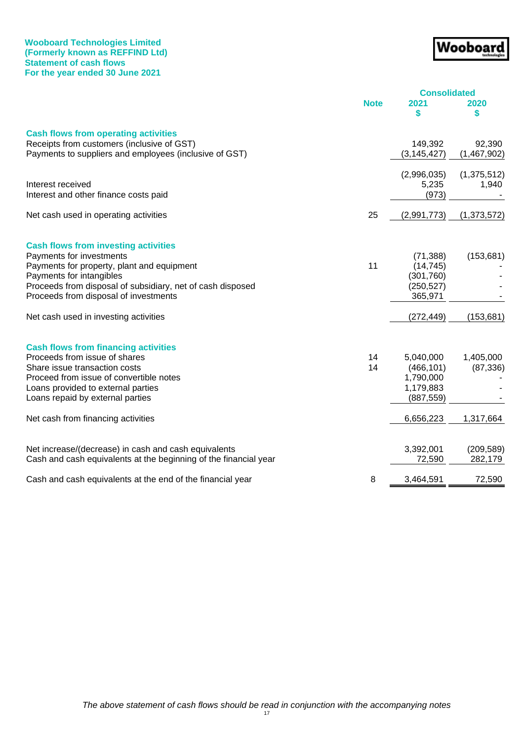## **Wooboard Technologies Limited (Formerly known as REFFIND Ltd) Statement of cash flows For the year ended 30 June 2021**

# Wooboard

|                                                                         | <b>Consolidated</b> |               |               |
|-------------------------------------------------------------------------|---------------------|---------------|---------------|
|                                                                         | <b>Note</b>         | 2021          | 2020          |
|                                                                         |                     | \$            | \$            |
| <b>Cash flows from operating activities</b>                             |                     |               |               |
| Receipts from customers (inclusive of GST)                              |                     | 149,392       | 92,390        |
| Payments to suppliers and employees (inclusive of GST)                  |                     | (3, 145, 427) | (1,467,902)   |
|                                                                         |                     |               |               |
|                                                                         |                     | (2,996,035)   | (1, 375, 512) |
| Interest received                                                       |                     | 5,235         | 1,940         |
| Interest and other finance costs paid                                   |                     | (973)         |               |
| Net cash used in operating activities                                   | 25                  | (2,991,773)   | (1, 373, 572) |
|                                                                         |                     |               |               |
| <b>Cash flows from investing activities</b><br>Payments for investments |                     | (71, 388)     | (153, 681)    |
| Payments for property, plant and equipment                              | 11                  | (14, 745)     |               |
| Payments for intangibles                                                |                     | (301, 760)    |               |
| Proceeds from disposal of subsidiary, net of cash disposed              |                     | (250, 527)    |               |
| Proceeds from disposal of investments                                   |                     | 365,971       |               |
| Net cash used in investing activities                                   |                     | (272, 449)    | (153, 681)    |
|                                                                         |                     |               |               |
| <b>Cash flows from financing activities</b>                             |                     |               |               |
| Proceeds from issue of shares                                           | 14                  | 5,040,000     | 1,405,000     |
| Share issue transaction costs                                           | 14                  | (466, 101)    | (87, 336)     |
| Proceed from issue of convertible notes                                 |                     | 1,790,000     |               |
| Loans provided to external parties                                      |                     | 1,179,883     |               |
| Loans repaid by external parties                                        |                     | (887, 559)    |               |
| Net cash from financing activities                                      |                     | 6,656,223     | 1,317,664     |
|                                                                         |                     |               |               |
| Net increase/(decrease) in cash and cash equivalents                    |                     | 3,392,001     | (209, 589)    |
| Cash and cash equivalents at the beginning of the financial year        |                     | 72,590        | 282,179       |
| Cash and cash equivalents at the end of the financial year              | 8                   | 3,464,591     | 72,590        |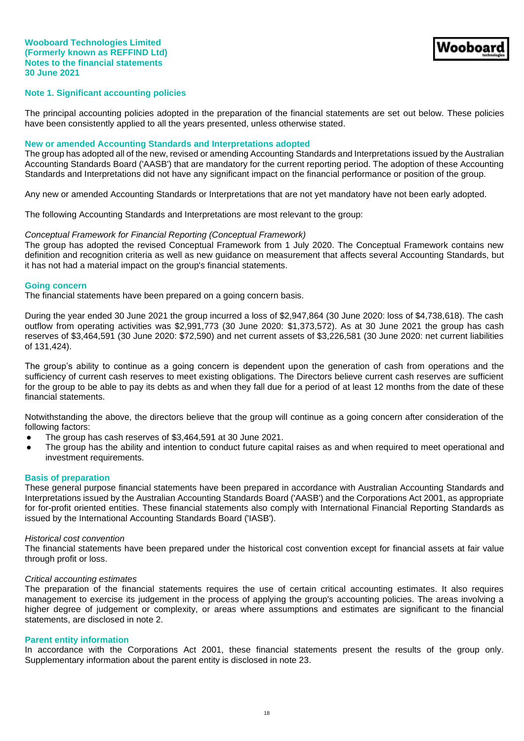## **Note 1. Significant accounting policies**

The principal accounting policies adopted in the preparation of the financial statements are set out below. These policies have been consistently applied to all the years presented, unless otherwise stated.

#### **New or amended Accounting Standards and Interpretations adopted**

The group has adopted all of the new, revised or amending Accounting Standards and Interpretations issued by the Australian Accounting Standards Board ('AASB') that are mandatory for the current reporting period. The adoption of these Accounting Standards and Interpretations did not have any significant impact on the financial performance or position of the group.

Any new or amended Accounting Standards or Interpretations that are not yet mandatory have not been early adopted.

The following Accounting Standards and Interpretations are most relevant to the group:

#### *Conceptual Framework for Financial Reporting (Conceptual Framework)*

The group has adopted the revised Conceptual Framework from 1 July 2020. The Conceptual Framework contains new definition and recognition criteria as well as new guidance on measurement that affects several Accounting Standards, but it has not had a material impact on the group's financial statements.

#### **Going concern**

The financial statements have been prepared on a going concern basis.

During the year ended 30 June 2021 the group incurred a loss of \$2,947,864 (30 June 2020: loss of \$4,738,618). The cash outflow from operating activities was \$2,991,773 (30 June 2020: \$1,373,572). As at 30 June 2021 the group has cash reserves of \$3,464,591 (30 June 2020: \$72,590) and net current assets of \$3,226,581 (30 June 2020: net current liabilities of 131,424).

The group's ability to continue as a going concern is dependent upon the generation of cash from operations and the sufficiency of current cash reserves to meet existing obligations. The Directors believe current cash reserves are sufficient for the group to be able to pay its debts as and when they fall due for a period of at least 12 months from the date of these financial statements.

Notwithstanding the above, the directors believe that the group will continue as a going concern after consideration of the following factors:

- The group has cash reserves of \$3,464,591 at 30 June 2021.
- The group has the ability and intention to conduct future capital raises as and when required to meet operational and investment requirements.

## **Basis of preparation**

These general purpose financial statements have been prepared in accordance with Australian Accounting Standards and Interpretations issued by the Australian Accounting Standards Board ('AASB') and the Corporations Act 2001, as appropriate for for-profit oriented entities. These financial statements also comply with International Financial Reporting Standards as issued by the International Accounting Standards Board ('IASB').

#### *Historical cost convention*

The financial statements have been prepared under the historical cost convention except for financial assets at fair value through profit or loss.

#### *Critical accounting estimates*

The preparation of the financial statements requires the use of certain critical accounting estimates. It also requires management to exercise its judgement in the process of applying the group's accounting policies. The areas involving a higher degree of judgement or complexity, or areas where assumptions and estimates are significant to the financial statements, are disclosed in note 2.

#### **Parent entity information**

In accordance with the Corporations Act 2001, these financial statements present the results of the group only. Supplementary information about the parent entity is disclosed in note 23.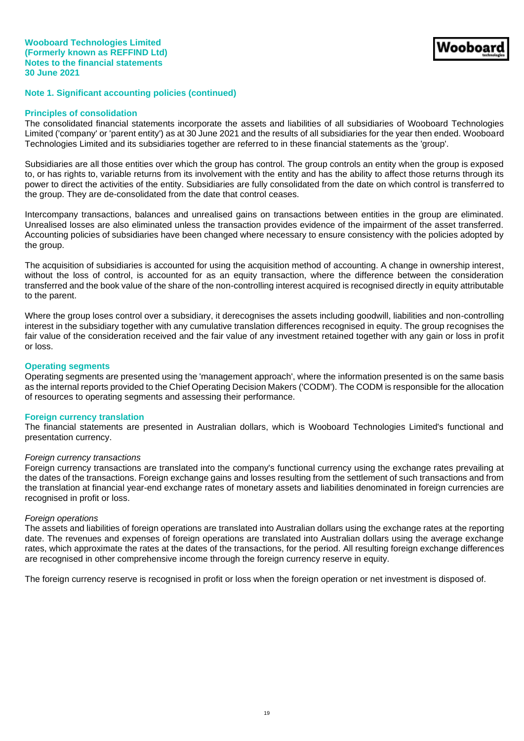#### **Principles of consolidation**

The consolidated financial statements incorporate the assets and liabilities of all subsidiaries of Wooboard Technologies Limited ('company' or 'parent entity') as at 30 June 2021 and the results of all subsidiaries for the year then ended. Wooboard Technologies Limited and its subsidiaries together are referred to in these financial statements as the 'group'.

Subsidiaries are all those entities over which the group has control. The group controls an entity when the group is exposed to, or has rights to, variable returns from its involvement with the entity and has the ability to affect those returns through its power to direct the activities of the entity. Subsidiaries are fully consolidated from the date on which control is transferred to the group. They are de-consolidated from the date that control ceases.

Intercompany transactions, balances and unrealised gains on transactions between entities in the group are eliminated. Unrealised losses are also eliminated unless the transaction provides evidence of the impairment of the asset transferred. Accounting policies of subsidiaries have been changed where necessary to ensure consistency with the policies adopted by the group.

The acquisition of subsidiaries is accounted for using the acquisition method of accounting. A change in ownership interest, without the loss of control, is accounted for as an equity transaction, where the difference between the consideration transferred and the book value of the share of the non-controlling interest acquired is recognised directly in equity attributable to the parent.

Where the group loses control over a subsidiary, it derecognises the assets including goodwill, liabilities and non-controlling interest in the subsidiary together with any cumulative translation differences recognised in equity. The group recognises the fair value of the consideration received and the fair value of any investment retained together with any gain or loss in profit or loss.

#### **Operating segments**

Operating segments are presented using the 'management approach', where the information presented is on the same basis as the internal reports provided to the Chief Operating Decision Makers ('CODM'). The CODM is responsible for the allocation of resources to operating segments and assessing their performance.

#### **Foreign currency translation**

The financial statements are presented in Australian dollars, which is Wooboard Technologies Limited's functional and presentation currency.

#### *Foreign currency transactions*

Foreign currency transactions are translated into the company's functional currency using the exchange rates prevailing at the dates of the transactions. Foreign exchange gains and losses resulting from the settlement of such transactions and from the translation at financial year-end exchange rates of monetary assets and liabilities denominated in foreign currencies are recognised in profit or loss.

#### *Foreign operations*

The assets and liabilities of foreign operations are translated into Australian dollars using the exchange rates at the reporting date. The revenues and expenses of foreign operations are translated into Australian dollars using the average exchange rates, which approximate the rates at the dates of the transactions, for the period. All resulting foreign exchange differences are recognised in other comprehensive income through the foreign currency reserve in equity.

The foreign currency reserve is recognised in profit or loss when the foreign operation or net investment is disposed of.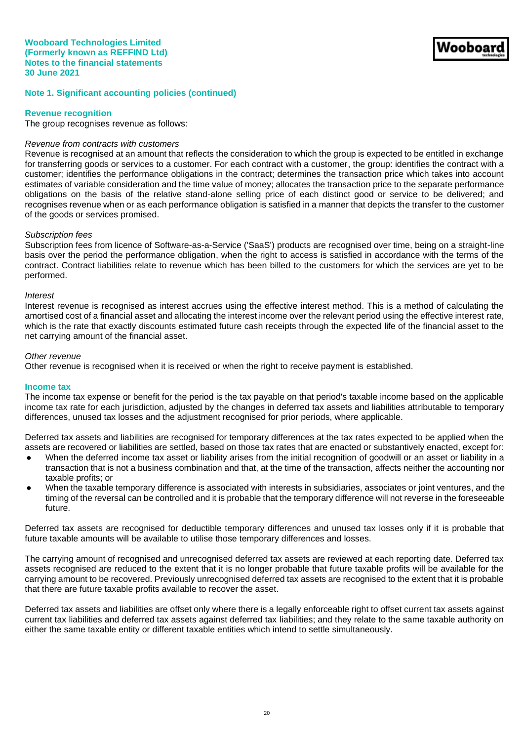## **Revenue recognition**

The group recognises revenue as follows:

#### *Revenue from contracts with customers*

Revenue is recognised at an amount that reflects the consideration to which the group is expected to be entitled in exchange for transferring goods or services to a customer. For each contract with a customer, the group: identifies the contract with a customer; identifies the performance obligations in the contract; determines the transaction price which takes into account estimates of variable consideration and the time value of money; allocates the transaction price to the separate performance obligations on the basis of the relative stand-alone selling price of each distinct good or service to be delivered; and recognises revenue when or as each performance obligation is satisfied in a manner that depicts the transfer to the customer of the goods or services promised.

#### *Subscription fees*

Subscription fees from licence of Software-as-a-Service ('SaaS') products are recognised over time, being on a straight-line basis over the period the performance obligation, when the right to access is satisfied in accordance with the terms of the contract. Contract liabilities relate to revenue which has been billed to the customers for which the services are yet to be performed.

#### *Interest*

Interest revenue is recognised as interest accrues using the effective interest method. This is a method of calculating the amortised cost of a financial asset and allocating the interest income over the relevant period using the effective interest rate, which is the rate that exactly discounts estimated future cash receipts through the expected life of the financial asset to the net carrying amount of the financial asset.

#### *Other revenue*

Other revenue is recognised when it is received or when the right to receive payment is established.

#### **Income tax**

The income tax expense or benefit for the period is the tax payable on that period's taxable income based on the applicable income tax rate for each jurisdiction, adjusted by the changes in deferred tax assets and liabilities attributable to temporary differences, unused tax losses and the adjustment recognised for prior periods, where applicable.

Deferred tax assets and liabilities are recognised for temporary differences at the tax rates expected to be applied when the assets are recovered or liabilities are settled, based on those tax rates that are enacted or substantively enacted, except for:

- When the deferred income tax asset or liability arises from the initial recognition of goodwill or an asset or liability in a transaction that is not a business combination and that, at the time of the transaction, affects neither the accounting nor taxable profits; or
- When the taxable temporary difference is associated with interests in subsidiaries, associates or joint ventures, and the timing of the reversal can be controlled and it is probable that the temporary difference will not reverse in the foreseeable future.

Deferred tax assets are recognised for deductible temporary differences and unused tax losses only if it is probable that future taxable amounts will be available to utilise those temporary differences and losses.

The carrying amount of recognised and unrecognised deferred tax assets are reviewed at each reporting date. Deferred tax assets recognised are reduced to the extent that it is no longer probable that future taxable profits will be available for the carrying amount to be recovered. Previously unrecognised deferred tax assets are recognised to the extent that it is probable that there are future taxable profits available to recover the asset.

Deferred tax assets and liabilities are offset only where there is a legally enforceable right to offset current tax assets against current tax liabilities and deferred tax assets against deferred tax liabilities; and they relate to the same taxable authority on either the same taxable entity or different taxable entities which intend to settle simultaneously.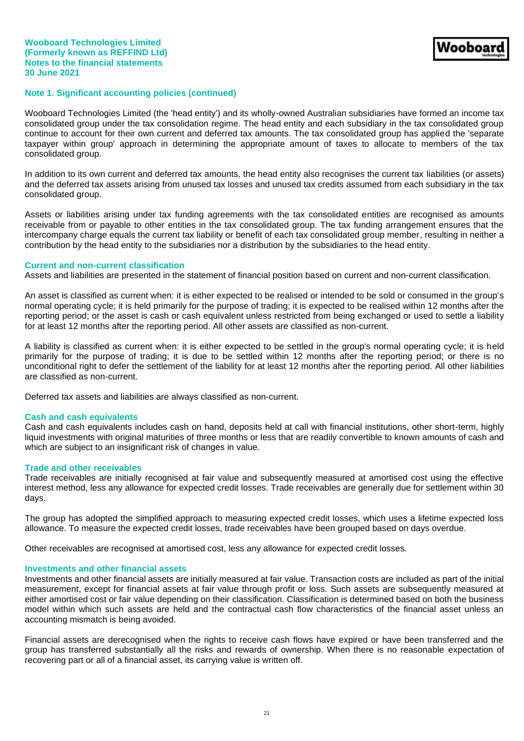Wooboard Technologies Limited (the 'head entity') and its wholly-owned Australian subsidiaries have formed an income tax consolidated group under the tax consolidation regime. The head entity and each subsidiary in the tax consolidated group continue to account for their own current and deferred tax amounts. The tax consolidated group has applied the 'separate taxpayer within group' approach in determining the appropriate amount of taxes to allocate to members of the tax consolidated group.

In addition to its own current and deferred tax amounts, the head entity also recognises the current tax liabilities (or assets) and the deferred tax assets arising from unused tax losses and unused tax credits assumed from each subsidiary in the tax consolidated group.

Assets or liabilities arising under tax funding agreements with the tax consolidated entities are recognised as amounts receivable from or payable to other entities in the tax consolidated group. The tax funding arrangement ensures that the intercompany charge equals the current tax liability or benefit of each tax consolidated group member, resulting in neither a contribution by the head entity to the subsidiaries nor a distribution by the subsidiaries to the head entity.

#### **Current and non-current classification**

Assets and liabilities are presented in the statement of financial position based on current and non-current classification.

An asset is classified as current when: it is either expected to be realised or intended to be sold or consumed in the group's normal operating cycle; it is held primarily for the purpose of trading; it is expected to be realised within 12 months after the reporting period; or the asset is cash or cash equivalent unless restricted from being exchanged or used to settle a liability for at least 12 months after the reporting period. All other assets are classified as non-current.

A liability is classified as current when: it is either expected to be settled in the group's normal operating cycle; it is held primarily for the purpose of trading; it is due to be settled within 12 months after the reporting period; or there is no unconditional right to defer the settlement of the liability for at least 12 months after the reporting period. All other liabilities are classified as non-current.

Deferred tax assets and liabilities are always classified as non-current.

#### **Cash and cash equivalents**

Cash and cash equivalents includes cash on hand, deposits held at call with financial institutions, other short-term, highly liquid investments with original maturities of three months or less that are readily convertible to known amounts of cash and which are subject to an insignificant risk of changes in value.

#### **Trade and other receivables**

Trade receivables are initially recognised at fair value and subsequently measured at amortised cost using the effective interest method, less any allowance for expected credit losses. Trade receivables are generally due for settlement within 30 days.

The group has adopted the simplified approach to measuring expected credit losses, which uses a lifetime expected loss allowance. To measure the expected credit losses, trade receivables have been grouped based on days overdue.

Other receivables are recognised at amortised cost, less any allowance for expected credit losses.

#### **Investments and other financial assets**

Investments and other financial assets are initially measured at fair value. Transaction costs are included as part of the initial measurement, except for financial assets at fair value through profit or loss. Such assets are subsequently measured at either amortised cost or fair value depending on their classification. Classification is determined based on both the business model within which such assets are held and the contractual cash flow characteristics of the financial asset unless an accounting mismatch is being avoided.

Financial assets are derecognised when the rights to receive cash flows have expired or have been transferred and the group has transferred substantially all the risks and rewards of ownership. When there is no reasonable expectation of recovering part or all of a financial asset, its carrying value is written off.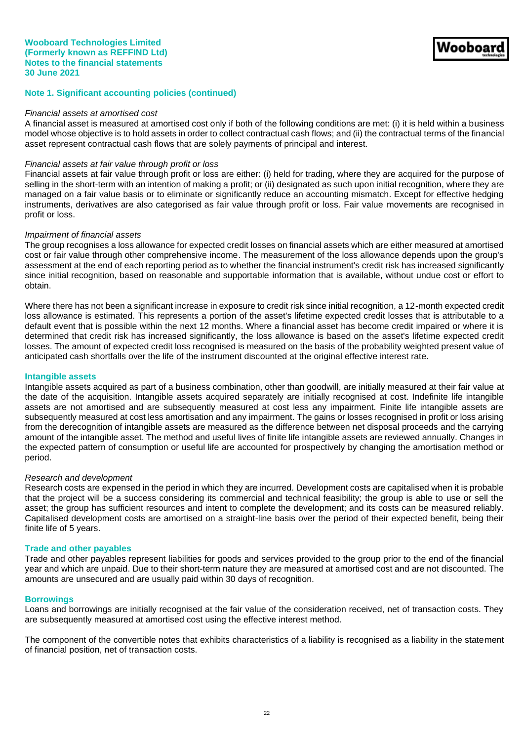#### *Financial assets at amortised cost*

A financial asset is measured at amortised cost only if both of the following conditions are met: (i) it is held within a business model whose objective is to hold assets in order to collect contractual cash flows; and (ii) the contractual terms of the financial asset represent contractual cash flows that are solely payments of principal and interest.

## *Financial assets at fair value through profit or loss*

Financial assets at fair value through profit or loss are either: (i) held for trading, where they are acquired for the purpose of selling in the short-term with an intention of making a profit; or (ii) designated as such upon initial recognition, where they are managed on a fair value basis or to eliminate or significantly reduce an accounting mismatch. Except for effective hedging instruments, derivatives are also categorised as fair value through profit or loss. Fair value movements are recognised in profit or loss.

#### *Impairment of financial assets*

The group recognises a loss allowance for expected credit losses on financial assets which are either measured at amortised cost or fair value through other comprehensive income. The measurement of the loss allowance depends upon the group's assessment at the end of each reporting period as to whether the financial instrument's credit risk has increased significantly since initial recognition, based on reasonable and supportable information that is available, without undue cost or effort to obtain.

Where there has not been a significant increase in exposure to credit risk since initial recognition, a 12-month expected credit loss allowance is estimated. This represents a portion of the asset's lifetime expected credit losses that is attributable to a default event that is possible within the next 12 months. Where a financial asset has become credit impaired or where it is determined that credit risk has increased significantly, the loss allowance is based on the asset's lifetime expected credit losses. The amount of expected credit loss recognised is measured on the basis of the probability weighted present value of anticipated cash shortfalls over the life of the instrument discounted at the original effective interest rate.

## **Intangible assets**

Intangible assets acquired as part of a business combination, other than goodwill, are initially measured at their fair value at the date of the acquisition. Intangible assets acquired separately are initially recognised at cost. Indefinite life intangible assets are not amortised and are subsequently measured at cost less any impairment. Finite life intangible assets are subsequently measured at cost less amortisation and any impairment. The gains or losses recognised in profit or loss arising from the derecognition of intangible assets are measured as the difference between net disposal proceeds and the carrying amount of the intangible asset. The method and useful lives of finite life intangible assets are reviewed annually. Changes in the expected pattern of consumption or useful life are accounted for prospectively by changing the amortisation method or period.

#### *Research and development*

Research costs are expensed in the period in which they are incurred. Development costs are capitalised when it is probable that the project will be a success considering its commercial and technical feasibility; the group is able to use or sell the asset; the group has sufficient resources and intent to complete the development; and its costs can be measured reliably. Capitalised development costs are amortised on a straight-line basis over the period of their expected benefit, being their finite life of 5 years.

#### **Trade and other payables**

Trade and other payables represent liabilities for goods and services provided to the group prior to the end of the financial year and which are unpaid. Due to their short-term nature they are measured at amortised cost and are not discounted. The amounts are unsecured and are usually paid within 30 days of recognition.

#### **Borrowings**

Loans and borrowings are initially recognised at the fair value of the consideration received, net of transaction costs. They are subsequently measured at amortised cost using the effective interest method.

The component of the convertible notes that exhibits characteristics of a liability is recognised as a liability in the statement of financial position, net of transaction costs.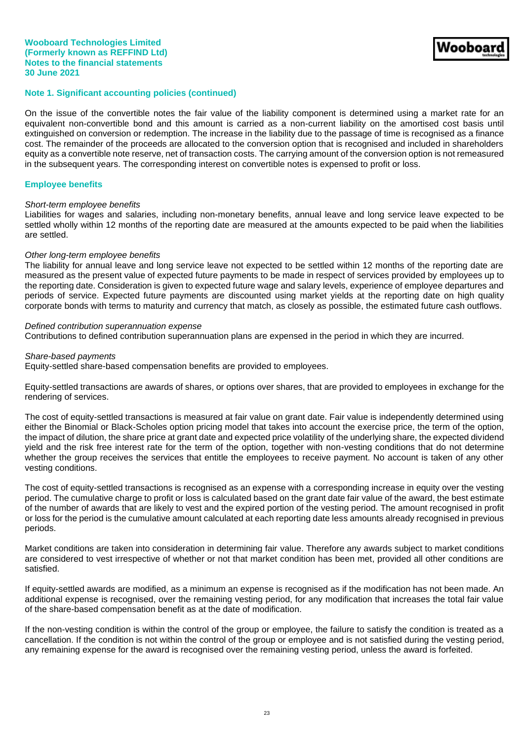On the issue of the convertible notes the fair value of the liability component is determined using a market rate for an equivalent non-convertible bond and this amount is carried as a non-current liability on the amortised cost basis until extinguished on conversion or redemption. The increase in the liability due to the passage of time is recognised as a finance cost. The remainder of the proceeds are allocated to the conversion option that is recognised and included in shareholders equity as a convertible note reserve, net of transaction costs. The carrying amount of the conversion option is not remeasured in the subsequent years. The corresponding interest on convertible notes is expensed to profit or loss.

## **Employee benefits**

#### *Short-term employee benefits*

Liabilities for wages and salaries, including non-monetary benefits, annual leave and long service leave expected to be settled wholly within 12 months of the reporting date are measured at the amounts expected to be paid when the liabilities are settled.

#### *Other long-term employee benefits*

The liability for annual leave and long service leave not expected to be settled within 12 months of the reporting date are measured as the present value of expected future payments to be made in respect of services provided by employees up to the reporting date. Consideration is given to expected future wage and salary levels, experience of employee departures and periods of service. Expected future payments are discounted using market yields at the reporting date on high quality corporate bonds with terms to maturity and currency that match, as closely as possible, the estimated future cash outflows.

## *Defined contribution superannuation expense*

Contributions to defined contribution superannuation plans are expensed in the period in which they are incurred.

#### *Share-based payments*

Equity-settled share-based compensation benefits are provided to employees.

Equity-settled transactions are awards of shares, or options over shares, that are provided to employees in exchange for the rendering of services.

The cost of equity-settled transactions is measured at fair value on grant date. Fair value is independently determined using either the Binomial or Black-Scholes option pricing model that takes into account the exercise price, the term of the option, the impact of dilution, the share price at grant date and expected price volatility of the underlying share, the expected dividend yield and the risk free interest rate for the term of the option, together with non-vesting conditions that do not determine whether the group receives the services that entitle the employees to receive payment. No account is taken of any other vesting conditions.

The cost of equity-settled transactions is recognised as an expense with a corresponding increase in equity over the vesting period. The cumulative charge to profit or loss is calculated based on the grant date fair value of the award, the best estimate of the number of awards that are likely to vest and the expired portion of the vesting period. The amount recognised in profit or loss for the period is the cumulative amount calculated at each reporting date less amounts already recognised in previous periods.

Market conditions are taken into consideration in determining fair value. Therefore any awards subject to market conditions are considered to vest irrespective of whether or not that market condition has been met, provided all other conditions are satisfied.

If equity-settled awards are modified, as a minimum an expense is recognised as if the modification has not been made. An additional expense is recognised, over the remaining vesting period, for any modification that increases the total fair value of the share-based compensation benefit as at the date of modification.

If the non-vesting condition is within the control of the group or employee, the failure to satisfy the condition is treated as a cancellation. If the condition is not within the control of the group or employee and is not satisfied during the vesting period, any remaining expense for the award is recognised over the remaining vesting period, unless the award is forfeited.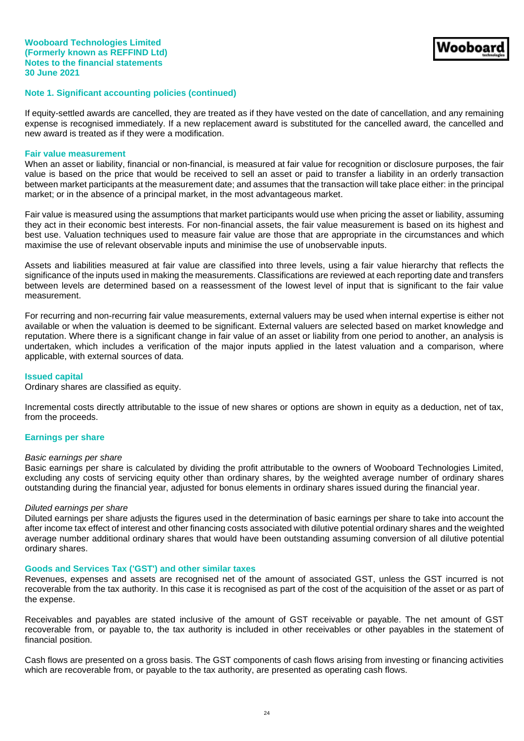If equity-settled awards are cancelled, they are treated as if they have vested on the date of cancellation, and any remaining expense is recognised immediately. If a new replacement award is substituted for the cancelled award, the cancelled and new award is treated as if they were a modification.

#### **Fair value measurement**

When an asset or liability, financial or non-financial, is measured at fair value for recognition or disclosure purposes, the fair value is based on the price that would be received to sell an asset or paid to transfer a liability in an orderly transaction between market participants at the measurement date; and assumes that the transaction will take place either: in the principal market; or in the absence of a principal market, in the most advantageous market.

Fair value is measured using the assumptions that market participants would use when pricing the asset or liability, assuming they act in their economic best interests. For non-financial assets, the fair value measurement is based on its highest and best use. Valuation techniques used to measure fair value are those that are appropriate in the circumstances and which maximise the use of relevant observable inputs and minimise the use of unobservable inputs.

Assets and liabilities measured at fair value are classified into three levels, using a fair value hierarchy that reflects the significance of the inputs used in making the measurements. Classifications are reviewed at each reporting date and transfers between levels are determined based on a reassessment of the lowest level of input that is significant to the fair value measurement.

For recurring and non-recurring fair value measurements, external valuers may be used when internal expertise is either not available or when the valuation is deemed to be significant. External valuers are selected based on market knowledge and reputation. Where there is a significant change in fair value of an asset or liability from one period to another, an analysis is undertaken, which includes a verification of the major inputs applied in the latest valuation and a comparison, where applicable, with external sources of data.

#### **Issued capital**

Ordinary shares are classified as equity.

Incremental costs directly attributable to the issue of new shares or options are shown in equity as a deduction, net of tax, from the proceeds.

## **Earnings per share**

#### *Basic earnings per share*

Basic earnings per share is calculated by dividing the profit attributable to the owners of Wooboard Technologies Limited, excluding any costs of servicing equity other than ordinary shares, by the weighted average number of ordinary shares outstanding during the financial year, adjusted for bonus elements in ordinary shares issued during the financial year.

#### *Diluted earnings per share*

Diluted earnings per share adjusts the figures used in the determination of basic earnings per share to take into account the after income tax effect of interest and other financing costs associated with dilutive potential ordinary shares and the weighted average number additional ordinary shares that would have been outstanding assuming conversion of all dilutive potential ordinary shares.

#### **Goods and Services Tax ('GST') and other similar taxes**

Revenues, expenses and assets are recognised net of the amount of associated GST, unless the GST incurred is not recoverable from the tax authority. In this case it is recognised as part of the cost of the acquisition of the asset or as part of the expense.

Receivables and payables are stated inclusive of the amount of GST receivable or payable. The net amount of GST recoverable from, or payable to, the tax authority is included in other receivables or other payables in the statement of financial position.

Cash flows are presented on a gross basis. The GST components of cash flows arising from investing or financing activities which are recoverable from, or payable to the tax authority, are presented as operating cash flows.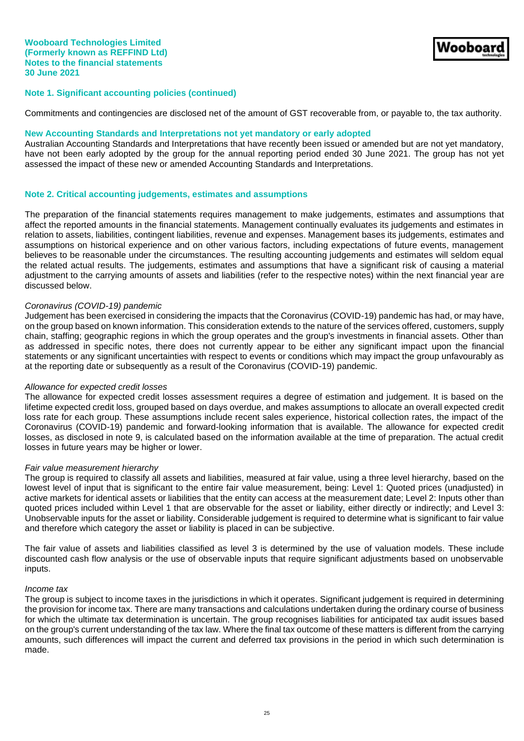Commitments and contingencies are disclosed net of the amount of GST recoverable from, or payable to, the tax authority.

#### **New Accounting Standards and Interpretations not yet mandatory or early adopted**

Australian Accounting Standards and Interpretations that have recently been issued or amended but are not yet mandatory, have not been early adopted by the group for the annual reporting period ended 30 June 2021. The group has not yet assessed the impact of these new or amended Accounting Standards and Interpretations.

### **Note 2. Critical accounting judgements, estimates and assumptions**

The preparation of the financial statements requires management to make judgements, estimates and assumptions that affect the reported amounts in the financial statements. Management continually evaluates its judgements and estimates in relation to assets, liabilities, contingent liabilities, revenue and expenses. Management bases its judgements, estimates and assumptions on historical experience and on other various factors, including expectations of future events, management believes to be reasonable under the circumstances. The resulting accounting judgements and estimates will seldom equal the related actual results. The judgements, estimates and assumptions that have a significant risk of causing a material adjustment to the carrying amounts of assets and liabilities (refer to the respective notes) within the next financial year are discussed below.

#### *Coronavirus (COVID-19) pandemic*

Judgement has been exercised in considering the impacts that the Coronavirus (COVID-19) pandemic has had, or may have, on the group based on known information. This consideration extends to the nature of the services offered, customers, supply chain, staffing; geographic regions in which the group operates and the group's investments in financial assets. Other than as addressed in specific notes, there does not currently appear to be either any significant impact upon the financial statements or any significant uncertainties with respect to events or conditions which may impact the group unfavourably as at the reporting date or subsequently as a result of the Coronavirus (COVID-19) pandemic.

## *Allowance for expected credit losses*

The allowance for expected credit losses assessment requires a degree of estimation and judgement. It is based on the lifetime expected credit loss, grouped based on days overdue, and makes assumptions to allocate an overall expected credit loss rate for each group. These assumptions include recent sales experience, historical collection rates, the impact of the Coronavirus (COVID-19) pandemic and forward-looking information that is available. The allowance for expected credit losses, as disclosed in note 9, is calculated based on the information available at the time of preparation. The actual credit losses in future years may be higher or lower.

#### *Fair value measurement hierarchy*

The group is required to classify all assets and liabilities, measured at fair value, using a three level hierarchy, based on the lowest level of input that is significant to the entire fair value measurement, being: Level 1: Quoted prices (unadjusted) in active markets for identical assets or liabilities that the entity can access at the measurement date; Level 2: Inputs other than quoted prices included within Level 1 that are observable for the asset or liability, either directly or indirectly; and Level 3: Unobservable inputs for the asset or liability. Considerable judgement is required to determine what is significant to fair value and therefore which category the asset or liability is placed in can be subjective.

The fair value of assets and liabilities classified as level 3 is determined by the use of valuation models. These include discounted cash flow analysis or the use of observable inputs that require significant adjustments based on unobservable inputs.

#### *Income tax*

The group is subject to income taxes in the jurisdictions in which it operates. Significant judgement is required in determining the provision for income tax. There are many transactions and calculations undertaken during the ordinary course of business for which the ultimate tax determination is uncertain. The group recognises liabilities for anticipated tax audit issues based on the group's current understanding of the tax law. Where the final tax outcome of these matters is different from the carrying amounts, such differences will impact the current and deferred tax provisions in the period in which such determination is made.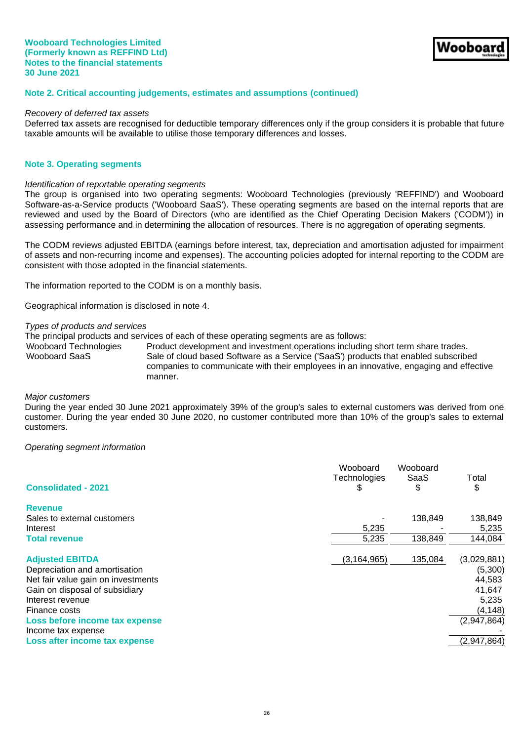### **Note 2. Critical accounting judgements, estimates and assumptions (continued)**

#### *Recovery of deferred tax assets*

Deferred tax assets are recognised for deductible temporary differences only if the group considers it is probable that future taxable amounts will be available to utilise those temporary differences and losses.

#### **Note 3. Operating segments**

#### *Identification of reportable operating segments*

The group is organised into two operating segments: Wooboard Technologies (previously 'REFFIND') and Wooboard Software-as-a-Service products ('Wooboard SaaS'). These operating segments are based on the internal reports that are reviewed and used by the Board of Directors (who are identified as the Chief Operating Decision Makers ('CODM')) in assessing performance and in determining the allocation of resources. There is no aggregation of operating segments.

The CODM reviews adjusted EBITDA (earnings before interest, tax, depreciation and amortisation adjusted for impairment of assets and non-recurring income and expenses). The accounting policies adopted for internal reporting to the CODM are consistent with those adopted in the financial statements.

The information reported to the CODM is on a monthly basis.

Geographical information is disclosed in note 4.

## *Types of products and services*

The principal products and services of each of these operating segments are as follows:

Wooboard Technologies Product development and investment operations including short term share trades. Wooboard SaaS Sale of cloud based Software as a Service ('SaaS') products that enabled subscribed companies to communicate with their employees in an innovative, engaging and effective manner.

#### *Major customers*

During the year ended 30 June 2021 approximately 39% of the group's sales to external customers was derived from one customer. During the year ended 30 June 2020, no customer contributed more than 10% of the group's sales to external customers.

#### *Operating segment information*

| <b>Consolidated - 2021</b>         | Wooboard<br>Technologies<br>S | Wooboard<br>SaaS<br>\$ | Total<br>\$ |
|------------------------------------|-------------------------------|------------------------|-------------|
| <b>Revenue</b>                     |                               |                        |             |
| Sales to external customers        |                               | 138,849                | 138,849     |
| Interest                           | 5,235                         |                        | 5,235       |
| <b>Total revenue</b>               | 5,235                         | 138,849                | 144,084     |
| <b>Adjusted EBITDA</b>             | (3, 164, 965)                 | 135,084                | (3,029,881) |
| Depreciation and amortisation      |                               |                        | (5,300)     |
| Net fair value gain on investments |                               |                        | 44,583      |
| Gain on disposal of subsidiary     |                               |                        | 41,647      |
| Interest revenue                   |                               |                        | 5,235       |
| Finance costs                      |                               |                        | (4, 148)    |
| Loss before income tax expense     |                               |                        | (2,947,864) |
| Income tax expense                 |                               |                        |             |
| Loss after income tax expense      |                               |                        | (2,947,864) |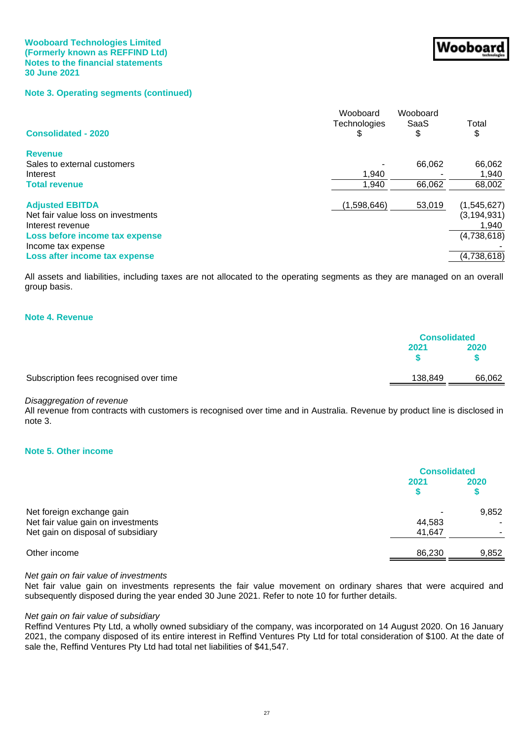## **Note 3. Operating segments (continued)**

| <b>Consolidated - 2020</b>         | Wooboard<br>Technologies<br>\$ | Wooboard<br>SaaS<br>\$ | Total<br>\$   |
|------------------------------------|--------------------------------|------------------------|---------------|
| <b>Revenue</b>                     |                                |                        |               |
| Sales to external customers        |                                | 66.062                 | 66,062        |
| Interest                           | 1,940                          |                        | 1,940         |
| <b>Total revenue</b>               | 1,940                          | 66,062                 | 68,002        |
| <b>Adjusted EBITDA</b>             | (1,598,646)                    | 53,019                 | (1,545,627)   |
| Net fair value loss on investments |                                |                        | (3, 194, 931) |
| Interest revenue                   |                                |                        | 1,940         |
| Loss before income tax expense     |                                |                        | (4,738,618)   |
| Income tax expense                 |                                |                        |               |
| Loss after income tax expense      |                                |                        | (4,738,618)   |

All assets and liabilities, including taxes are not allocated to the operating segments as they are managed on an overall group basis.

## **Note 4. Revenue**

|                                        |         | <b>Consolidated</b> |  |
|----------------------------------------|---------|---------------------|--|
|                                        | 2021    | 2020                |  |
| Subscription fees recognised over time | 138,849 | 66,062              |  |

## *Disaggregation of revenue*

All revenue from contracts with customers is recognised over time and in Australia. Revenue by product line is disclosed in note 3.

## **Note 5. Other income**

|                                                                 | <b>Consolidated</b> |       |
|-----------------------------------------------------------------|---------------------|-------|
|                                                                 | 2021                | 2020  |
| Net foreign exchange gain<br>Net fair value gain on investments | 44,583              | 9,852 |
| Net gain on disposal of subsidiary                              | 41,647              |       |
| Other income                                                    | 86,230              | 9,852 |

#### *Net gain on fair value of investments*

Net fair value gain on investments represents the fair value movement on ordinary shares that were acquired and subsequently disposed during the year ended 30 June 2021. Refer to note 10 for further details.

#### *Net gain on fair value of subsidiary*

Reffind Ventures Pty Ltd, a wholly owned subsidiary of the company, was incorporated on 14 August 2020. On 16 January 2021, the company disposed of its entire interest in Reffind Ventures Pty Ltd for total consideration of \$100. At the date of sale the, Reffind Ventures Pty Ltd had total net liabilities of \$41,547.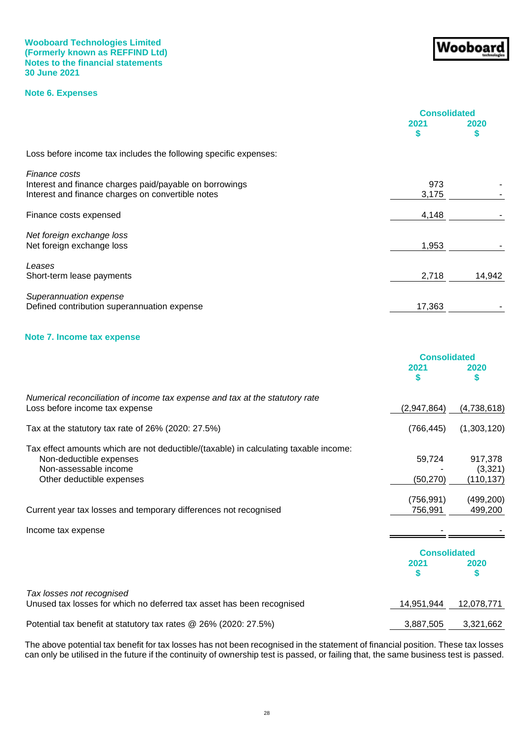## **Note 6. Expenses**

|                                                                  | <b>Consolidated</b> |           |
|------------------------------------------------------------------|---------------------|-----------|
|                                                                  | 2021<br>S           | 2020<br>S |
| Loss before income tax includes the following specific expenses: |                     |           |
| Finance costs                                                    |                     |           |
| Interest and finance charges paid/payable on borrowings          | 973                 |           |
| Interest and finance charges on convertible notes                | 3,175               |           |
| Finance costs expensed                                           | 4,148               |           |
| Net foreign exchange loss                                        |                     |           |
| Net foreign exchange loss                                        | 1,953               |           |
| Leases                                                           |                     |           |
| Short-term lease payments                                        | 2,718               | 14,942    |
| Superannuation expense                                           |                     |           |
| Defined contribution superannuation expense                      | 17,363              |           |

## **Note 7. Income tax expense**

|                                                                                      | <b>Consolidated</b> |             |
|--------------------------------------------------------------------------------------|---------------------|-------------|
|                                                                                      | 2021<br>S           | 2020        |
| Numerical reconciliation of income tax expense and tax at the statutory rate         |                     |             |
| Loss before income tax expense                                                       | (2,947,864)         | (4,738,618) |
| Tax at the statutory tax rate of 26% (2020: 27.5%)                                   | (766, 445)          | (1,303,120) |
| Tax effect amounts which are not deductible/(taxable) in calculating taxable income: |                     |             |
| Non-deductible expenses                                                              | 59,724              | 917,378     |
| Non-assessable income                                                                |                     | (3,321)     |
| Other deductible expenses                                                            | (50, 270)           | (110, 137)  |
|                                                                                      | (756, 991)          | (499, 200)  |
| Current year tax losses and temporary differences not recognised                     | 756,991             | 499,200     |
| Income tax expense                                                                   |                     |             |
|                                                                                      | <b>Consolidated</b> |             |
|                                                                                      | 2021<br>S           | 2020<br>S   |
| Tax losses not recognised                                                            |                     |             |
| Unused tax losses for which no deferred tax asset has been recognised                | 14,951,944          | 12,078,771  |
| Potential tax benefit at statutory tax rates @ 26% (2020: 27.5%)                     | 3,887,505           | 3,321,662   |

The above potential tax benefit for tax losses has not been recognised in the statement of financial position. These tax losses can only be utilised in the future if the continuity of ownership test is passed, or failing that, the same business test is passed.

# Wooboar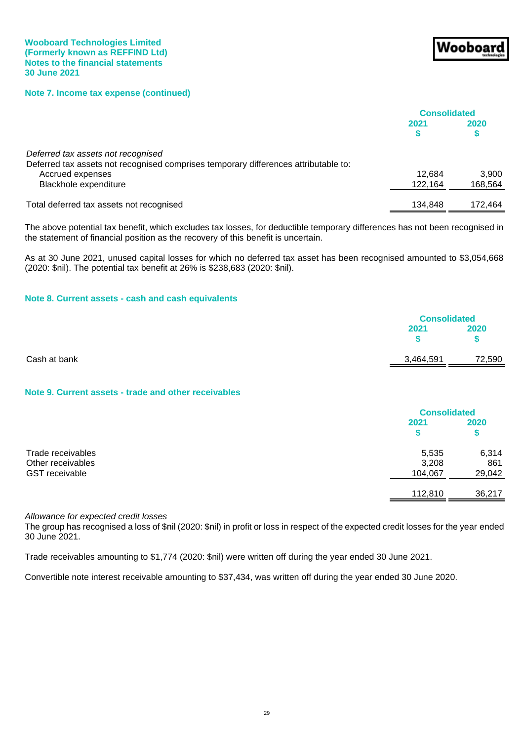**Note 7. Income tax expense (continued)**

|                                                                                                                           | <b>Consolidated</b> |         |
|---------------------------------------------------------------------------------------------------------------------------|---------------------|---------|
|                                                                                                                           | 2021                | 2020    |
| Deferred tax assets not recognised<br>Deferred tax assets not recognised comprises temporary differences attributable to: |                     |         |
| Accrued expenses                                                                                                          | 12.684              | 3.900   |
| Blackhole expenditure                                                                                                     | 122.164             | 168,564 |
| Total deferred tax assets not recognised                                                                                  | 134.848             | 172.464 |

The above potential tax benefit, which excludes tax losses, for deductible temporary differences has not been recognised in the statement of financial position as the recovery of this benefit is uncertain.

As at 30 June 2021, unused capital losses for which no deferred tax asset has been recognised amounted to \$3,054,668 (2020: \$nil). The potential tax benefit at 26% is \$238,683 (2020: \$nil).

## **Note 8. Current assets - cash and cash equivalents**

|              |           | <b>Consolidated</b> |
|--------------|-----------|---------------------|
|              | 2021      | 2020                |
| Cash at bank | 3,464,591 | 72,590              |

## **Note 9. Current assets - trade and other receivables**

|                                                                 | <b>Consolidated</b>       |                        |
|-----------------------------------------------------------------|---------------------------|------------------------|
|                                                                 | 2021                      | 2020<br>\$             |
| Trade receivables<br>Other receivables<br><b>GST</b> receivable | 5,535<br>3,208<br>104,067 | 6,314<br>861<br>29,042 |
|                                                                 | 112,810                   | 36,217                 |

*Allowance for expected credit losses*

The group has recognised a loss of \$nil (2020: \$nil) in profit or loss in respect of the expected credit losses for the year ended 30 June 2021.

Trade receivables amounting to \$1,774 (2020: \$nil) were written off during the year ended 30 June 2021.

Convertible note interest receivable amounting to \$37,434, was written off during the year ended 30 June 2020.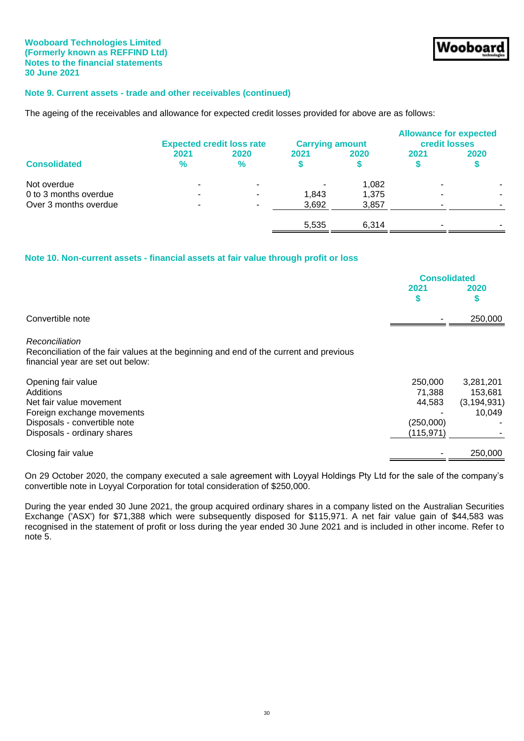## **Note 9. Current assets - trade and other receivables (continued)**

The ageing of the receivables and allowance for expected credit losses provided for above are as follows:

|                       |                          | <b>Expected credit loss rate</b> | <b>Carrying amount</b> |       | <b>Allowance for expected</b><br>credit losses |      |
|-----------------------|--------------------------|----------------------------------|------------------------|-------|------------------------------------------------|------|
| <b>Consolidated</b>   | 2021<br>$\%$             | 2020<br>$\%$                     | 2021                   | 2020  | 2021                                           | 2020 |
| Not overdue           |                          | ٠                                |                        | 1.082 |                                                |      |
| 0 to 3 months overdue |                          | ٠                                | 1.843                  | 1,375 |                                                |      |
| Over 3 months overdue | $\overline{\phantom{a}}$ | $\sim$                           | 3,692                  | 3,857 | -                                              |      |
|                       |                          |                                  | 5,535                  | 6.314 | -                                              |      |

## **Note 10. Non-current assets - financial assets at fair value through profit or loss**

|                                                                                                                                                         | <b>Consolidated</b>                                    |                                                 |
|---------------------------------------------------------------------------------------------------------------------------------------------------------|--------------------------------------------------------|-------------------------------------------------|
|                                                                                                                                                         | 2021<br>S                                              | <b>2020</b>                                     |
| Convertible note                                                                                                                                        |                                                        | 250,000                                         |
| Reconciliation<br>Reconciliation of the fair values at the beginning and end of the current and previous<br>financial year are set out below:           |                                                        |                                                 |
| Opening fair value<br>Additions<br>Net fair value movement<br>Foreign exchange movements<br>Disposals - convertible note<br>Disposals - ordinary shares | 250,000<br>71,388<br>44,583<br>(250,000)<br>(115, 971) | 3,281,201<br>153,681<br>(3, 194, 931)<br>10,049 |
| Closing fair value                                                                                                                                      |                                                        | 250,000                                         |

On 29 October 2020, the company executed a sale agreement with Loyyal Holdings Pty Ltd for the sale of the company's convertible note in Loyyal Corporation for total consideration of \$250,000.

During the year ended 30 June 2021, the group acquired ordinary shares in a company listed on the Australian Securities Exchange ('ASX') for \$71,388 which were subsequently disposed for \$115,971. A net fair value gain of \$44,583 was recognised in the statement of profit or loss during the year ended 30 June 2021 and is included in other income. Refer to note 5.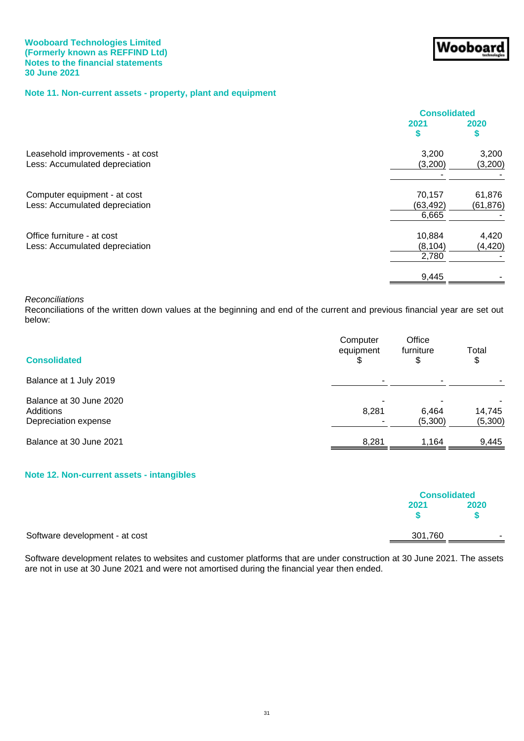# **Note 11. Non-current assets - property, plant and equipment**

|                                                                    | <b>Consolidated</b> |                     |
|--------------------------------------------------------------------|---------------------|---------------------|
|                                                                    | 2021                | 2020                |
| Leasehold improvements - at cost<br>Less: Accumulated depreciation | 3,200<br>(3,200)    | 3,200<br>(3,200)    |
|                                                                    |                     |                     |
| Computer equipment - at cost<br>Less: Accumulated depreciation     | 70,157<br>(63, 492) | 61,876<br>(61, 876) |
|                                                                    | 6,665               |                     |
| Office furniture - at cost<br>Less: Accumulated depreciation       | 10,884<br>(8, 104)  | 4,420<br>(4, 420)   |
|                                                                    | 2,780               |                     |
|                                                                    | 9,445               |                     |

Wooboar

#### *Reconciliations*

Reconciliations of the written down values at the beginning and end of the current and previous financial year are set out below:

| <b>Consolidated</b>                                          | Computer<br>equipment | Office<br>furniture<br>\$ | Total<br>\$       |
|--------------------------------------------------------------|-----------------------|---------------------------|-------------------|
| Balance at 1 July 2019                                       |                       |                           |                   |
| Balance at 30 June 2020<br>Additions<br>Depreciation expense | 8,281                 | 6,464<br>(5,300)          | 14,745<br>(5,300) |
| Balance at 30 June 2021                                      | 8,281                 | 1.164                     | 9,445             |

## **Note 12. Non-current assets - intangibles**

|                                |         | <b>Consolidated</b> |
|--------------------------------|---------|---------------------|
|                                | 2021    | 2020                |
| Software development - at cost | 301,760 | -                   |

Software development relates to websites and customer platforms that are under construction at 30 June 2021. The assets are not in use at 30 June 2021 and were not amortised during the financial year then ended.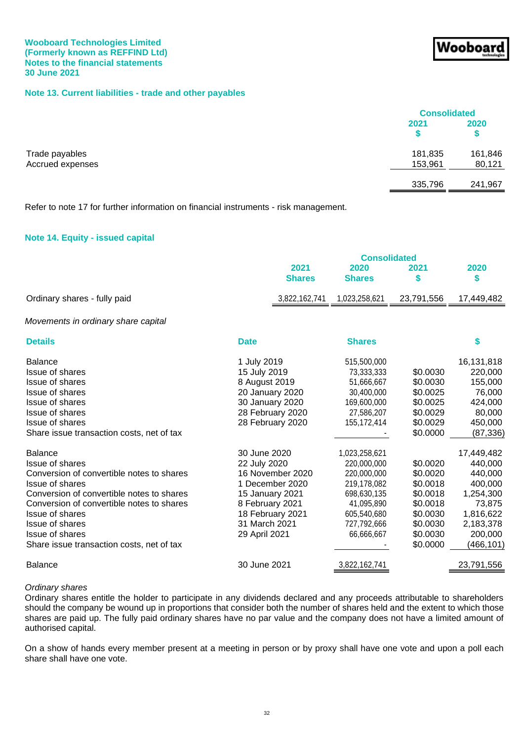## **Note 13. Current liabilities - trade and other payables**

|                                    |                    | <b>Consolidated</b> |  |
|------------------------------------|--------------------|---------------------|--|
|                                    | 2021               | 2020                |  |
| Trade payables<br>Accrued expenses | 181,835<br>153,961 | 161,846<br>80,121   |  |
|                                    | 335,796            | 241,967             |  |

Refer to note 17 for further information on financial instruments - risk management.

## **Note 14. Equity - issued capital**

|                                                                                                                                                                                                                                                                                                                        |                                                                                                                                                                 | <b>Consolidated</b>                                                                                                                 |                                                                                                          |                                                                                                                       |  |
|------------------------------------------------------------------------------------------------------------------------------------------------------------------------------------------------------------------------------------------------------------------------------------------------------------------------|-----------------------------------------------------------------------------------------------------------------------------------------------------------------|-------------------------------------------------------------------------------------------------------------------------------------|----------------------------------------------------------------------------------------------------------|-----------------------------------------------------------------------------------------------------------------------|--|
|                                                                                                                                                                                                                                                                                                                        | 2021<br><b>Shares</b>                                                                                                                                           | 2020<br><b>Shares</b>                                                                                                               | 2021<br>\$                                                                                               | 2020<br>\$                                                                                                            |  |
| Ordinary shares - fully paid                                                                                                                                                                                                                                                                                           | 3,822,162,741                                                                                                                                                   | 1,023,258,621                                                                                                                       | 23,791,556                                                                                               | 17,449,482                                                                                                            |  |
| Movements in ordinary share capital                                                                                                                                                                                                                                                                                    |                                                                                                                                                                 |                                                                                                                                     |                                                                                                          |                                                                                                                       |  |
| <b>Details</b>                                                                                                                                                                                                                                                                                                         | <b>Date</b>                                                                                                                                                     | <b>Shares</b>                                                                                                                       |                                                                                                          | \$                                                                                                                    |  |
| <b>Balance</b><br>Issue of shares<br><b>Issue of shares</b><br>Issue of shares<br>Issue of shares<br><b>Issue of shares</b><br><b>Issue of shares</b><br>Share issue transaction costs, net of tax                                                                                                                     | 1 July 2019<br>15 July 2019<br>8 August 2019<br>20 January 2020<br>30 January 2020<br>28 February 2020<br>28 February 2020                                      | 515,500,000<br>73,333,333<br>51,666,667<br>30,400,000<br>169,600,000<br>27,586,207<br>155,172,414                                   | \$0.0030<br>\$0.0030<br>\$0.0025<br>\$0.0025<br>\$0.0029<br>\$0.0029<br>\$0.0000                         | 16,131,818<br>220,000<br>155,000<br>76,000<br>424,000<br>80,000<br>450,000<br>(87, 336)                               |  |
| <b>Balance</b><br>Issue of shares<br>Conversion of convertible notes to shares<br><b>Issue of shares</b><br>Conversion of convertible notes to shares<br>Conversion of convertible notes to shares<br>Issue of shares<br><b>Issue of shares</b><br><b>Issue of shares</b><br>Share issue transaction costs, net of tax | 30 June 2020<br>22 July 2020<br>16 November 2020<br>1 December 2020<br>15 January 2021<br>8 February 2021<br>18 February 2021<br>31 March 2021<br>29 April 2021 | 1,023,258,621<br>220,000,000<br>220,000,000<br>219,178,082<br>698,630,135<br>41,095,890<br>605,540,680<br>727,792,666<br>66,666,667 | \$0.0020<br>\$0.0020<br>\$0.0018<br>\$0.0018<br>\$0.0018<br>\$0.0030<br>\$0.0030<br>\$0.0030<br>\$0.0000 | 17,449,482<br>440,000<br>440,000<br>400,000<br>1,254,300<br>73,875<br>1,816,622<br>2,183,378<br>200,000<br>(466, 101) |  |
| <b>Balance</b>                                                                                                                                                                                                                                                                                                         | 30 June 2021                                                                                                                                                    | 3,822,162,741                                                                                                                       |                                                                                                          | 23,791,556                                                                                                            |  |

#### *Ordinary shares*

Ordinary shares entitle the holder to participate in any dividends declared and any proceeds attributable to shareholders should the company be wound up in proportions that consider both the number of shares held and the extent to which those shares are paid up. The fully paid ordinary shares have no par value and the company does not have a limited amount of authorised capital.

On a show of hands every member present at a meeting in person or by proxy shall have one vote and upon a poll each share shall have one vote.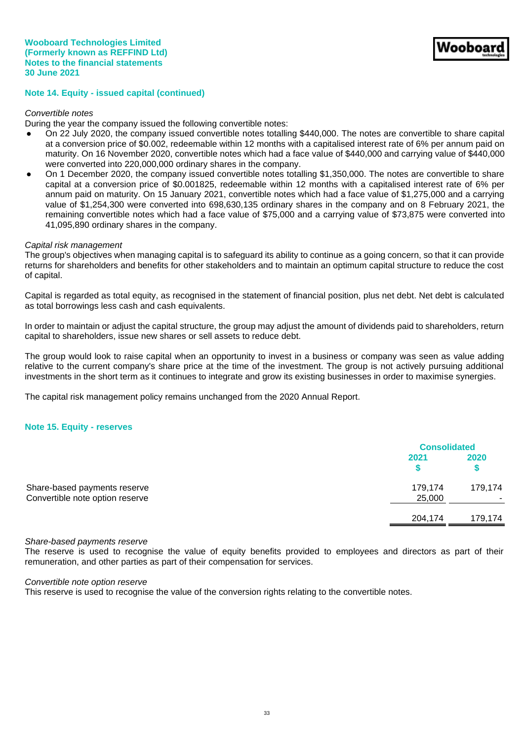## **Note 14. Equity - issued capital (continued)**

#### *Convertible notes*

During the year the company issued the following convertible notes:

- On 22 July 2020, the company issued convertible notes totalling \$440,000. The notes are convertible to share capital at a conversion price of \$0.002, redeemable within 12 months with a capitalised interest rate of 6% per annum paid on maturity. On 16 November 2020, convertible notes which had a face value of \$440,000 and carrying value of \$440,000 were converted into 220,000,000 ordinary shares in the company.
- On 1 December 2020, the company issued convertible notes totalling \$1,350,000. The notes are convertible to share capital at a conversion price of \$0.001825, redeemable within 12 months with a capitalised interest rate of 6% per annum paid on maturity. On 15 January 2021, convertible notes which had a face value of \$1,275,000 and a carrying value of \$1,254,300 were converted into 698,630,135 ordinary shares in the company and on 8 February 2021, the remaining convertible notes which had a face value of \$75,000 and a carrying value of \$73,875 were converted into 41,095,890 ordinary shares in the company.

#### *Capital risk management*

The group's objectives when managing capital is to safeguard its ability to continue as a going concern, so that it can provide returns for shareholders and benefits for other stakeholders and to maintain an optimum capital structure to reduce the cost of capital.

Capital is regarded as total equity, as recognised in the statement of financial position, plus net debt. Net debt is calculated as total borrowings less cash and cash equivalents.

In order to maintain or adjust the capital structure, the group may adjust the amount of dividends paid to shareholders, return capital to shareholders, issue new shares or sell assets to reduce debt.

The group would look to raise capital when an opportunity to invest in a business or company was seen as value adding relative to the current company's share price at the time of the investment. The group is not actively pursuing additional investments in the short term as it continues to integrate and grow its existing businesses in order to maximise synergies.

The capital risk management policy remains unchanged from the 2020 Annual Report.

#### **Note 15. Equity - reserves**

|                                                                 |                   | <b>Consolidated</b> |  |
|-----------------------------------------------------------------|-------------------|---------------------|--|
|                                                                 | 2021              | 2020                |  |
| Share-based payments reserve<br>Convertible note option reserve | 179,174<br>25,000 | 179,174             |  |
|                                                                 | 204.174           | 179.174             |  |

#### *Share-based payments reserve*

The reserve is used to recognise the value of equity benefits provided to employees and directors as part of their remuneration, and other parties as part of their compensation for services.

*Convertible note option reserve*

This reserve is used to recognise the value of the conversion rights relating to the convertible notes.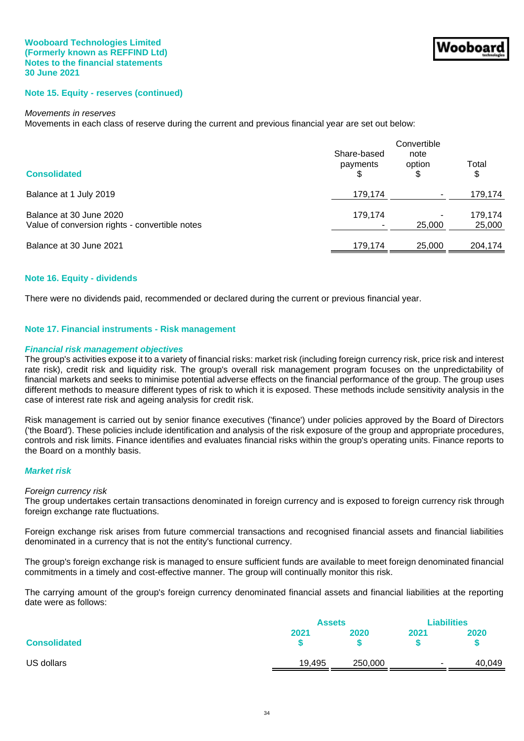## **Note 15. Equity - reserves (continued)**

#### *Movements in reserves*

Movements in each class of reserve during the current and previous financial year are set out below:

|                                                                           | Convertible             |                |                   |
|---------------------------------------------------------------------------|-------------------------|----------------|-------------------|
| <b>Consolidated</b>                                                       | Share-based<br>payments | note<br>option | Total<br>\$       |
| Balance at 1 July 2019                                                    | 179,174                 |                | 179,174           |
| Balance at 30 June 2020<br>Value of conversion rights - convertible notes | 179.174                 | 25,000         | 179,174<br>25,000 |
| Balance at 30 June 2021                                                   | 179,174                 | 25,000         | 204,174           |

### **Note 16. Equity - dividends**

There were no dividends paid, recommended or declared during the current or previous financial year.

#### **Note 17. Financial instruments - Risk management**

#### *Financial risk management objectives*

The group's activities expose it to a variety of financial risks: market risk (including foreign currency risk, price risk and interest rate risk), credit risk and liquidity risk. The group's overall risk management program focuses on the unpredictability of financial markets and seeks to minimise potential adverse effects on the financial performance of the group. The group uses different methods to measure different types of risk to which it is exposed. These methods include sensitivity analysis in the case of interest rate risk and ageing analysis for credit risk.

Risk management is carried out by senior finance executives ('finance') under policies approved by the Board of Directors ('the Board'). These policies include identification and analysis of the risk exposure of the group and appropriate procedures, controls and risk limits. Finance identifies and evaluates financial risks within the group's operating units. Finance reports to the Board on a monthly basis.

#### *Market risk*

#### *Foreign currency risk*

The group undertakes certain transactions denominated in foreign currency and is exposed to foreign currency risk through foreign exchange rate fluctuations.

Foreign exchange risk arises from future commercial transactions and recognised financial assets and financial liabilities denominated in a currency that is not the entity's functional currency.

The group's foreign exchange risk is managed to ensure sufficient funds are available to meet foreign denominated financial commitments in a timely and cost-effective manner. The group will continually monitor this risk.

The carrying amount of the group's foreign currency denominated financial assets and financial liabilities at the reporting date were as follows:

|                     | <b>Assets</b> |         | <b>Liabilities</b> |        |
|---------------------|---------------|---------|--------------------|--------|
| <b>Consolidated</b> | 2021          | 2020    | 2021               | 2020   |
| US dollars          | 19,495        | 250,000 | ۰.                 | 40,049 |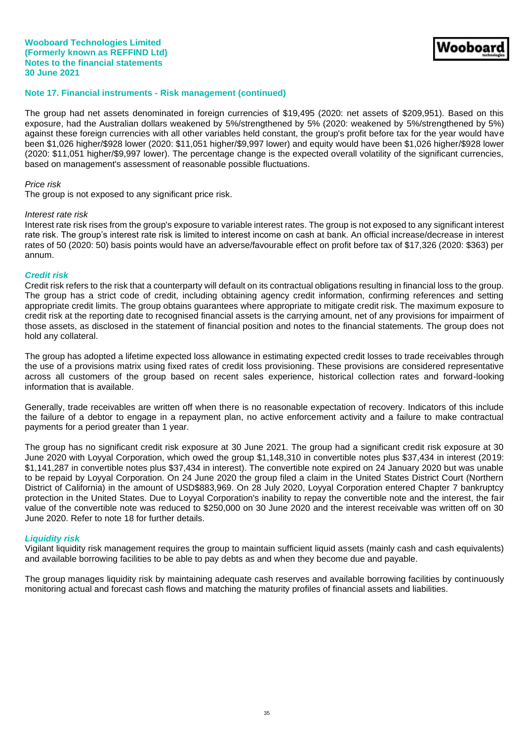## **Note 17. Financial instruments - Risk management (continued)**

The group had net assets denominated in foreign currencies of \$19,495 (2020: net assets of \$209,951). Based on this exposure, had the Australian dollars weakened by 5%/strengthened by 5% (2020: weakened by 5%/strengthened by 5%) against these foreign currencies with all other variables held constant, the group's profit before tax for the year would have been \$1,026 higher/\$928 lower (2020: \$11,051 higher/\$9,997 lower) and equity would have been \$1,026 higher/\$928 lower (2020: \$11,051 higher/\$9,997 lower). The percentage change is the expected overall volatility of the significant currencies, based on management's assessment of reasonable possible fluctuations.

Nooboa

#### *Price risk*

The group is not exposed to any significant price risk.

#### *Interest rate risk*

Interest rate risk rises from the group's exposure to variable interest rates. The group is not exposed to any significant interest rate risk. The group's interest rate risk is limited to interest income on cash at bank. An official increase/decrease in interest rates of 50 (2020: 50) basis points would have an adverse/favourable effect on profit before tax of \$17,326 (2020: \$363) per annum.

#### *Credit risk*

Credit risk refers to the risk that a counterparty will default on its contractual obligations resulting in financial loss to the group. The group has a strict code of credit, including obtaining agency credit information, confirming references and setting appropriate credit limits. The group obtains guarantees where appropriate to mitigate credit risk. The maximum exposure to credit risk at the reporting date to recognised financial assets is the carrying amount, net of any provisions for impairment of those assets, as disclosed in the statement of financial position and notes to the financial statements. The group does not hold any collateral.

The group has adopted a lifetime expected loss allowance in estimating expected credit losses to trade receivables through the use of a provisions matrix using fixed rates of credit loss provisioning. These provisions are considered representative across all customers of the group based on recent sales experience, historical collection rates and forward-looking information that is available.

Generally, trade receivables are written off when there is no reasonable expectation of recovery. Indicators of this include the failure of a debtor to engage in a repayment plan, no active enforcement activity and a failure to make contractual payments for a period greater than 1 year.

The group has no significant credit risk exposure at 30 June 2021. The group had a significant credit risk exposure at 30 June 2020 with Loyyal Corporation, which owed the group \$1,148,310 in convertible notes plus \$37,434 in interest (2019: \$1,141,287 in convertible notes plus \$37,434 in interest). The convertible note expired on 24 January 2020 but was unable to be repaid by Loyyal Corporation. On 24 June 2020 the group filed a claim in the United States District Court (Northern District of California) in the amount of USD\$883,969. On 28 July 2020, Loyyal Corporation entered Chapter 7 bankruptcy protection in the United States. Due to Loyyal Corporation's inability to repay the convertible note and the interest, the fair value of the convertible note was reduced to \$250,000 on 30 June 2020 and the interest receivable was written off on 30 June 2020. Refer to note 18 for further details.

## *Liquidity risk*

Vigilant liquidity risk management requires the group to maintain sufficient liquid assets (mainly cash and cash equivalents) and available borrowing facilities to be able to pay debts as and when they become due and payable.

The group manages liquidity risk by maintaining adequate cash reserves and available borrowing facilities by continuously monitoring actual and forecast cash flows and matching the maturity profiles of financial assets and liabilities.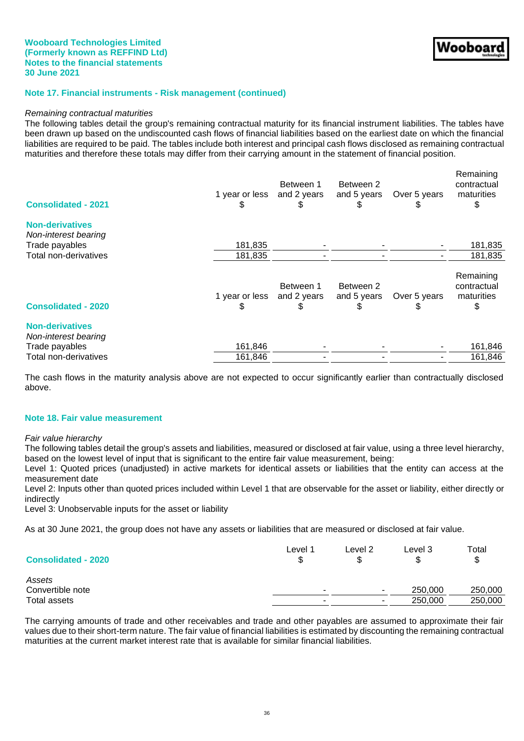## **Wooboard Technologies Limited (Formerly known as REFFIND Ltd) Notes to the financial statements 30 June 2021**

## **Note 17. Financial instruments - Risk management (continued)**

#### *Remaining contractual maturities*

The following tables detail the group's remaining contractual maturity for its financial instrument liabilities. The tables have been drawn up based on the undiscounted cash flows of financial liabilities based on the earliest date on which the financial liabilities are required to be paid. The tables include both interest and principal cash flows disclosed as remaining contractual maturities and therefore these totals may differ from their carrying amount in the statement of financial position.

| <b>Consolidated - 2021</b>                                       | 1 year or less<br>S | Between 1<br>and 2 years | Between 2<br>and 5 years | Over 5 years | Remaining<br>contractual<br>maturities |
|------------------------------------------------------------------|---------------------|--------------------------|--------------------------|--------------|----------------------------------------|
| <b>Non-derivatives</b><br>Non-interest bearing                   |                     |                          |                          |              |                                        |
| Trade payables                                                   | 181,835             |                          |                          |              | 181,835                                |
| Total non-derivatives                                            | 181,835             |                          |                          |              | 181,835                                |
| <b>Consolidated - 2020</b>                                       | 1 year or less<br>S | Between 1<br>and 2 years | Between 2<br>and 5 years | Over 5 years | Remaining<br>contractual<br>maturities |
| <b>Non-derivatives</b><br>Non-interest bearing<br>Trade payables | 161,846             |                          |                          |              | 161,846                                |
| Total non-derivatives                                            | 161,846             |                          |                          |              | 161,846                                |
|                                                                  |                     |                          |                          |              |                                        |

The cash flows in the maturity analysis above are not expected to occur significantly earlier than contractually disclosed above.

#### **Note 18. Fair value measurement**

#### *Fair value hierarchy*

The following tables detail the group's assets and liabilities, measured or disclosed at fair value, using a three level hierarchy, based on the lowest level of input that is significant to the entire fair value measurement, being:

Level 1: Quoted prices (unadjusted) in active markets for identical assets or liabilities that the entity can access at the measurement date

Level 2: Inputs other than quoted prices included within Level 1 that are observable for the asset or liability, either directly or indirectly

Level 3: Unobservable inputs for the asset or liability

As at 30 June 2021, the group does not have any assets or liabilities that are measured or disclosed at fair value.

| <b>Consolidated - 2020</b> | Level 1 | Level 2                  | Level 3<br>\$ | Total<br>S |
|----------------------------|---------|--------------------------|---------------|------------|
| Assets                     |         |                          |               |            |
| Convertible note           |         | $\overline{\phantom{a}}$ | 250,000       | 250,000    |
| Total assets               | $\sim$  | $\overline{\phantom{a}}$ | 250,000       | 250,000    |

The carrying amounts of trade and other receivables and trade and other payables are assumed to approximate their fair values due to their short-term nature. The fair value of financial liabilities is estimated by discounting the remaining contractual maturities at the current market interest rate that is available for similar financial liabilities.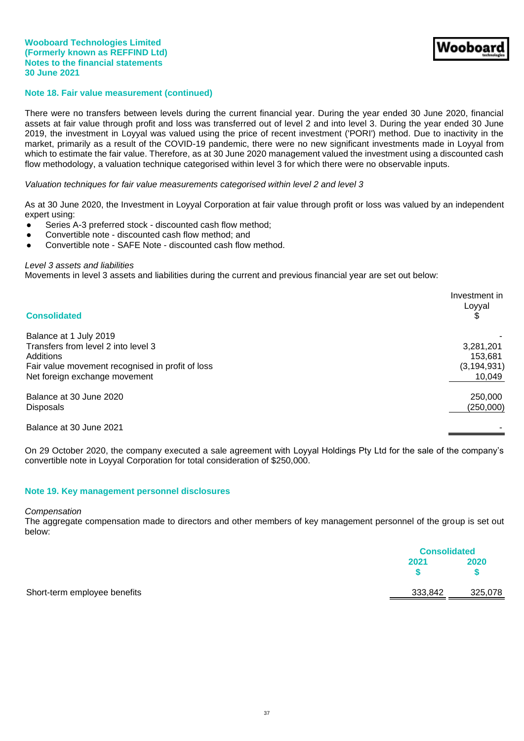## **Note 18. Fair value measurement (continued)**

There were no transfers between levels during the current financial year. During the year ended 30 June 2020, financial assets at fair value through profit and loss was transferred out of level 2 and into level 3. During the year ended 30 June 2019, the investment in Loyyal was valued using the price of recent investment ('PORI') method. Due to inactivity in the market, primarily as a result of the COVID-19 pandemic, there were no new significant investments made in Loyyal from which to estimate the fair value. Therefore, as at 30 June 2020 management valued the investment using a discounted cash flow methodology, a valuation technique categorised within level 3 for which there were no observable inputs.

#### *Valuation techniques for fair value measurements categorised within level 2 and level 3*

As at 30 June 2020, the Investment in Loyyal Corporation at fair value through profit or loss was valued by an independent expert using:

- Series A-3 preferred stock discounted cash flow method;
- Convertible note discounted cash flow method; and
- Convertible note SAFE Note discounted cash flow method.

## *Level 3 assets and liabilities*

Movements in level 3 assets and liabilities during the current and previous financial year are set out below:

| <b>Consolidated</b>                              | Investment in<br>Loyyal |
|--------------------------------------------------|-------------------------|
| Balance at 1 July 2019                           |                         |
| Transfers from level 2 into level 3              | 3,281,201               |
| Additions                                        | 153,681                 |
| Fair value movement recognised in profit of loss | (3, 194, 931)           |
| Net foreign exchange movement                    | 10,049                  |
| Balance at 30 June 2020                          | 250,000                 |
| <b>Disposals</b>                                 | (250,000)               |
| Balance at 30 June 2021                          |                         |

On 29 October 2020, the company executed a sale agreement with Loyyal Holdings Pty Ltd for the sale of the company's convertible note in Loyyal Corporation for total consideration of \$250,000.

#### **Note 19. Key management personnel disclosures**

#### *Compensation*

The aggregate compensation made to directors and other members of key management personnel of the group is set out below:

|                              | <b>Consolidated</b> |         |
|------------------------------|---------------------|---------|
|                              | 2021                | 2020    |
| Short-term employee benefits | 333,842             | 325,078 |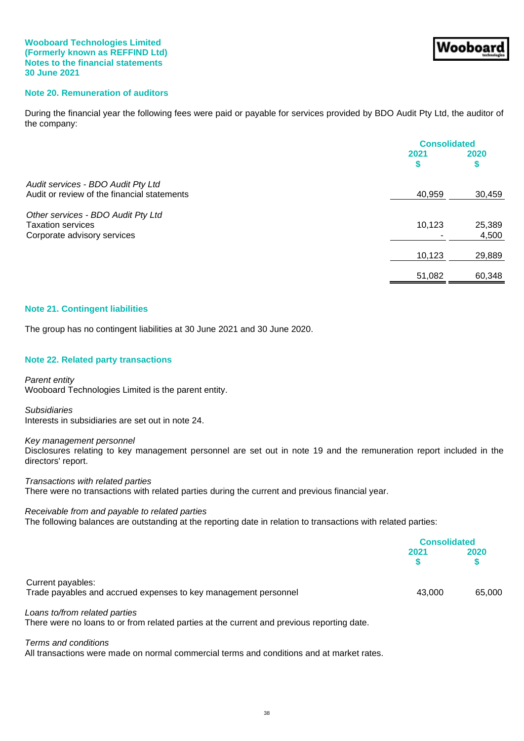## **Note 20. Remuneration of auditors**

During the financial year the following fees were paid or payable for services provided by BDO Audit Pty Ltd, the auditor of the company:

|                                             | <b>Consolidated</b> |        |
|---------------------------------------------|---------------------|--------|
|                                             | 2021                | 2020   |
|                                             |                     |        |
| Audit services - BDO Audit Pty Ltd          |                     |        |
| Audit or review of the financial statements | 40,959              | 30,459 |
| Other services - BDO Audit Pty Ltd          |                     |        |
| <b>Taxation services</b>                    | 10,123              | 25,389 |
| Corporate advisory services                 |                     | 4,500  |
|                                             | 10,123              | 29,889 |
|                                             | 51,082              | 60,348 |

#### **Note 21. Contingent liabilities**

The group has no contingent liabilities at 30 June 2021 and 30 June 2020.

#### **Note 22. Related party transactions**

*Parent entity* Wooboard Technologies Limited is the parent entity.

*Subsidiaries* Interests in subsidiaries are set out in note 24.

#### *Key management personnel*

Disclosures relating to key management personnel are set out in note 19 and the remuneration report included in the directors' report.

*Transactions with related parties* There were no transactions with related parties during the current and previous financial year.

#### *Receivable from and payable to related parties*

The following balances are outstanding at the reporting date in relation to transactions with related parties:

|                                                                                                                                                                                                                                                                       | <b>Consolidated</b> |        |
|-----------------------------------------------------------------------------------------------------------------------------------------------------------------------------------------------------------------------------------------------------------------------|---------------------|--------|
|                                                                                                                                                                                                                                                                       | 2021                | 2020   |
| Current payables:<br>Trade payables and accrued expenses to key management personnel                                                                                                                                                                                  | 43,000              | 65,000 |
| Loans to/from related parties<br>. The contract of the contract of the contract of the contract of the contract of the contract of the contract of the contract of the contract of the contract of the contract of the contract of the contract of the contrac<br>$-$ |                     |        |

There were no loans to or from related parties at the current and previous reporting date.

#### *Terms and conditions*

All transactions were made on normal commercial terms and conditions and at market rates.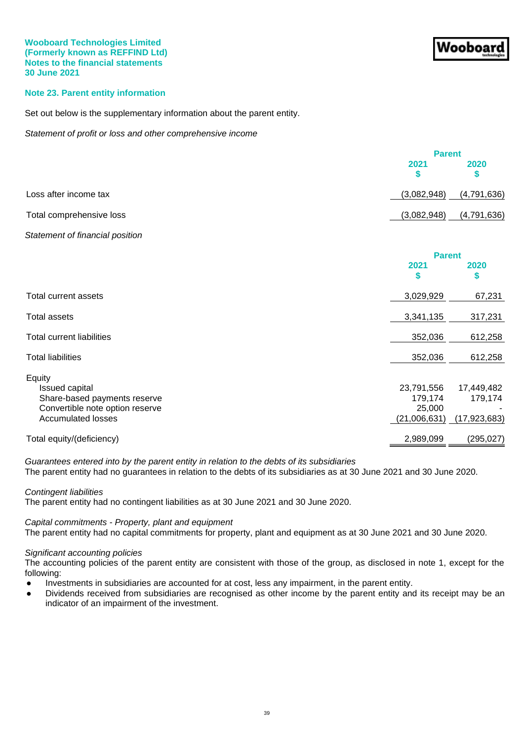## **Note 23. Parent entity information**

Set out below is the supplementary information about the parent entity.

*Statement of profit or loss and other comprehensive income*

|                          |             | <b>Parent</b> |  |
|--------------------------|-------------|---------------|--|
|                          | 2021        | 2020          |  |
| Loss after income tax    | (3,082,948) | (4,791,636)   |  |
| Total comprehensive loss | (3,082,948) | (4,791,636)   |  |

## *Statement of financial position*

|                                                                                                                          | <b>Parent</b>                                   |                                         |
|--------------------------------------------------------------------------------------------------------------------------|-------------------------------------------------|-----------------------------------------|
|                                                                                                                          | 2021<br>S                                       | 2020<br>\$                              |
| Total current assets                                                                                                     | 3,029,929                                       | 67,231                                  |
| Total assets                                                                                                             | 3,341,135                                       | 317,231                                 |
| <b>Total current liabilities</b>                                                                                         | 352,036                                         | 612,258                                 |
| <b>Total liabilities</b>                                                                                                 | 352,036                                         | 612,258                                 |
| Equity<br>Issued capital<br>Share-based payments reserve<br>Convertible note option reserve<br><b>Accumulated losses</b> | 23,791,556<br>179,174<br>25,000<br>(21,006,631) | 17,449,482<br>179,174<br>(17, 923, 683) |
| Total equity/(deficiency)                                                                                                | 2,989,099                                       | (295, 027)                              |

*Guarantees entered into by the parent entity in relation to the debts of its subsidiaries*

The parent entity had no guarantees in relation to the debts of its subsidiaries as at 30 June 2021 and 30 June 2020.

## *Contingent liabilities*

The parent entity had no contingent liabilities as at 30 June 2021 and 30 June 2020.

## *Capital commitments - Property, plant and equipment*

The parent entity had no capital commitments for property, plant and equipment as at 30 June 2021 and 30 June 2020.

#### *Significant accounting policies*

The accounting policies of the parent entity are consistent with those of the group, as disclosed in note 1, except for the following:

- Investments in subsidiaries are accounted for at cost, less any impairment, in the parent entity.
- Dividends received from subsidiaries are recognised as other income by the parent entity and its receipt may be an indicator of an impairment of the investment.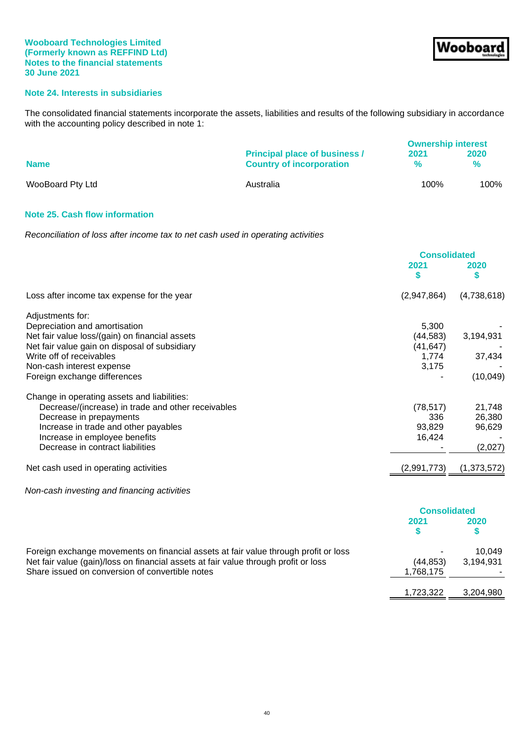# **Note 24. Interests in subsidiaries**

The consolidated financial statements incorporate the assets, liabilities and results of the following subsidiary in accordance with the accounting policy described in note 1:

|                  |                                                                         | <b>Ownership interest</b> |                       |
|------------------|-------------------------------------------------------------------------|---------------------------|-----------------------|
| <b>Name</b>      | <b>Principal place of business /</b><br><b>Country of incorporation</b> | 2021<br>%                 | 2020<br>$\frac{9}{6}$ |
| WooBoard Pty Ltd | Australia                                                               | 100%                      | 100%                  |

## **Note 25. Cash flow information**

*Reconciliation of loss after income tax to net cash used in operating activities*

|                                                                                     | <b>Consolidated</b> |               |
|-------------------------------------------------------------------------------------|---------------------|---------------|
|                                                                                     | 2021<br>\$          | 2020<br>S     |
| Loss after income tax expense for the year                                          | (2,947,864)         | (4,738,618)   |
| Adjustments for:                                                                    |                     |               |
| Depreciation and amortisation                                                       | 5,300               |               |
| Net fair value loss/(gain) on financial assets                                      | (44, 583)           | 3,194,931     |
| Net fair value gain on disposal of subsidiary                                       | (41, 647)           |               |
| Write off of receivables                                                            | 1.774               | 37,434        |
| Non-cash interest expense                                                           | 3,175               |               |
| Foreign exchange differences                                                        |                     | (10,049)      |
| Change in operating assets and liabilities:                                         |                     |               |
| Decrease/(increase) in trade and other receivables                                  | (78, 517)           | 21,748        |
| Decrease in prepayments                                                             | 336                 | 26,380        |
| Increase in trade and other payables                                                | 93,829              | 96,629        |
| Increase in employee benefits                                                       | 16,424              |               |
| Decrease in contract liabilities                                                    |                     | (2,027)       |
| Net cash used in operating activities                                               | (2,991,773)         | (1, 373, 572) |
| Non-cash investing and financing activities                                         |                     |               |
|                                                                                     | <b>Consolidated</b> |               |
|                                                                                     | 2021                | 2020          |
|                                                                                     | \$                  | \$            |
| Fersian avahongo mayamanta an finangial agasta at fair value through profit ar loos |                     | 10.010        |

| Foreign exchange movements on financial assets at fair value through profit or loss |           | 10.049    |
|-------------------------------------------------------------------------------------|-----------|-----------|
| Net fair value (gain)/loss on financial assets at fair value through profit or loss | (44.853)  | 3,194,931 |
| Share issued on conversion of convertible notes                                     | 1,768,175 |           |
|                                                                                     |           |           |

1,723,322 3,204,980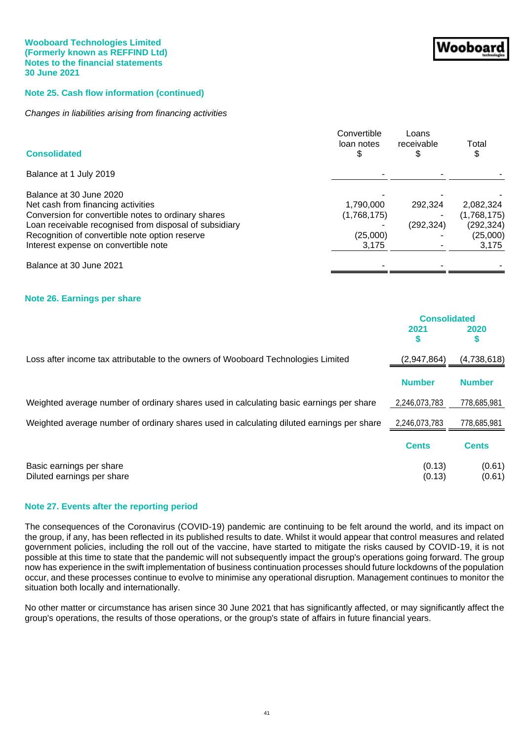## **Note 25. Cash flow information (continued)**

## *Changes in liabilities arising from financing activities*

| <b>Consolidated</b>                                    | Convertible<br>loan notes<br>\$ | Loans<br>receivable | Total<br>\$ |
|--------------------------------------------------------|---------------------------------|---------------------|-------------|
| Balance at 1 July 2019                                 |                                 |                     |             |
| Balance at 30 June 2020                                |                                 |                     |             |
| Net cash from financing activities                     | 1.790.000                       | 292.324             | 2.082.324   |
| Conversion for convertible notes to ordinary shares    | (1,768,175)                     |                     | (1,768,175) |
| Loan receivable recognised from disposal of subsidiary |                                 | (292, 324)          | (292, 324)  |
| Recognition of convertible note option reserve         | (25,000)                        |                     | (25,000)    |
| Interest expense on convertible note                   | 3,175                           |                     | 3,175       |
| Balance at 30 June 2021                                |                                 |                     |             |
|                                                        |                                 |                     |             |

#### **Note 26. Earnings per share**

|                                                                                           | <b>Consolidated</b><br>2021<br>S | 2020<br>\$       |
|-------------------------------------------------------------------------------------------|----------------------------------|------------------|
| Loss after income tax attributable to the owners of Wooboard Technologies Limited         | (2,947,864)                      | (4,738,618)      |
|                                                                                           | <b>Number</b>                    | <b>Number</b>    |
| Weighted average number of ordinary shares used in calculating basic earnings per share   | 2,246,073,783                    | 778,685,981      |
| Weighted average number of ordinary shares used in calculating diluted earnings per share | 2,246,073,783                    | 778,685,981      |
|                                                                                           | <b>Cents</b>                     | <b>Cents</b>     |
| Basic earnings per share<br>Diluted earnings per share                                    | (0.13)<br>(0.13)                 | (0.61)<br>(0.61) |

## **Note 27. Events after the reporting period**

The consequences of the Coronavirus (COVID-19) pandemic are continuing to be felt around the world, and its impact on the group, if any, has been reflected in its published results to date. Whilst it would appear that control measures and related government policies, including the roll out of the vaccine, have started to mitigate the risks caused by COVID-19, it is not possible at this time to state that the pandemic will not subsequently impact the group's operations going forward. The group now has experience in the swift implementation of business continuation processes should future lockdowns of the population occur, and these processes continue to evolve to minimise any operational disruption. Management continues to monitor the situation both locally and internationally.

No other matter or circumstance has arisen since 30 June 2021 that has significantly affected, or may significantly affect the group's operations, the results of those operations, or the group's state of affairs in future financial years.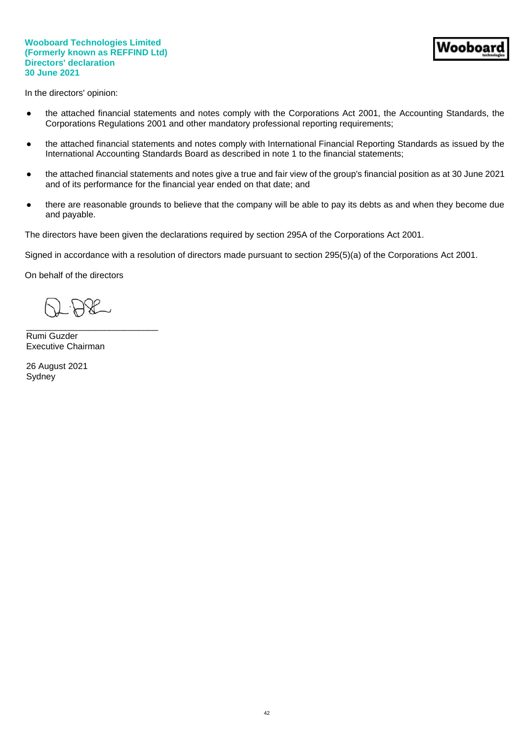In the directors' opinion:

- the attached financial statements and notes comply with the Corporations Act 2001, the Accounting Standards, the Corporations Regulations 2001 and other mandatory professional reporting requirements;
- the attached financial statements and notes comply with International Financial Reporting Standards as issued by the International Accounting Standards Board as described in note 1 to the financial statements;
- the attached financial statements and notes give a true and fair view of the group's financial position as at 30 June 2021 and of its performance for the financial year ended on that date; and
- there are reasonable grounds to believe that the company will be able to pay its debts as and when they become due and payable.

The directors have been given the declarations required by section 295A of the Corporations Act 2001.

Signed in accordance with a resolution of directors made pursuant to section 295(5)(a) of the Corporations Act 2001.

On behalf of the directors

\_\_\_\_\_\_\_\_\_\_\_\_\_\_\_\_\_\_\_\_\_\_\_\_\_\_\_

Rumi Guzder Executive Chairman

26 August 2021 **Sydney**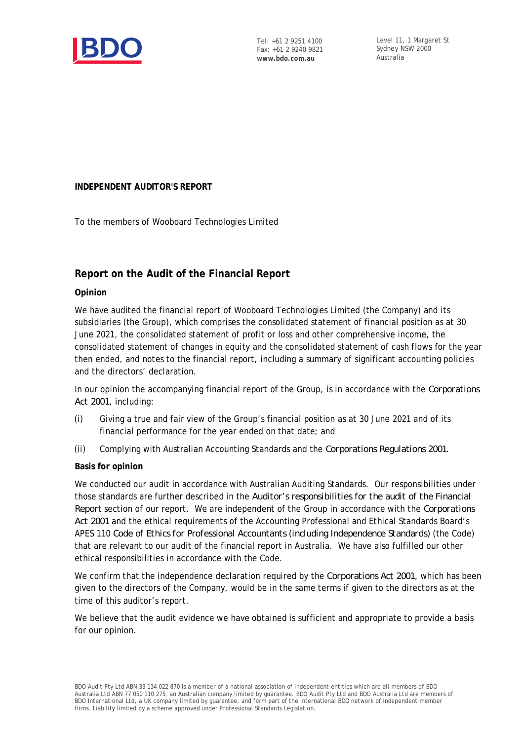

Level 11, 1 Margaret St Sydney NSW 2000 Australia

# **INDEPENDENT AUDITOR'S REPORT**

To the members of Wooboard Technologies Limited

# **Report on the Audit of the Financial Report**

# **Opinion**

We have audited the financial report of Wooboard Technologies Limited (the Company) and its subsidiaries (the Group), which comprises the consolidated statement of financial position as at 30 June 2021, the consolidated statement of profit or loss and other comprehensive income, the consolidated statement of changes in equity and the consolidated statement of cash flows for the year then ended, and notes to the financial report, including a summary of significant accounting policies and the directors' declaration.

In our opinion the accompanying financial report of the Group, is in accordance with the *Corporations Act 2001*, including:

- (i) Giving a true and fair view of the Group's financial position as at 30 June 2021 and of its financial performance for the year ended on that date; and
- (ii) Complying with Australian Accounting Standards and the *Corporations Regulations 2001*.

## **Basis for opinion**

We conducted our audit in accordance with Australian Auditing Standards. Our responsibilities under those standards are further described in the *Auditor's responsibilities for the audit of the Financial Report* section of our report. We are independent of the Group in accordance with the *Corporations Act 2001* and the ethical requirements of the Accounting Professional and Ethical Standards Board's APES 110 *Code of Ethics for Professional Accountants (including Independence Standards)* (the Code) that are relevant to our audit of the financial report in Australia. We have also fulfilled our other ethical responsibilities in accordance with the Code.

We confirm that the independence declaration required by the *Corporations Act 2001*, which has been given to the directors of the Company, would be in the same terms if given to the directors as at the time of this auditor's report.

We believe that the audit evidence we have obtained is sufficient and appropriate to provide a basis for our opinion.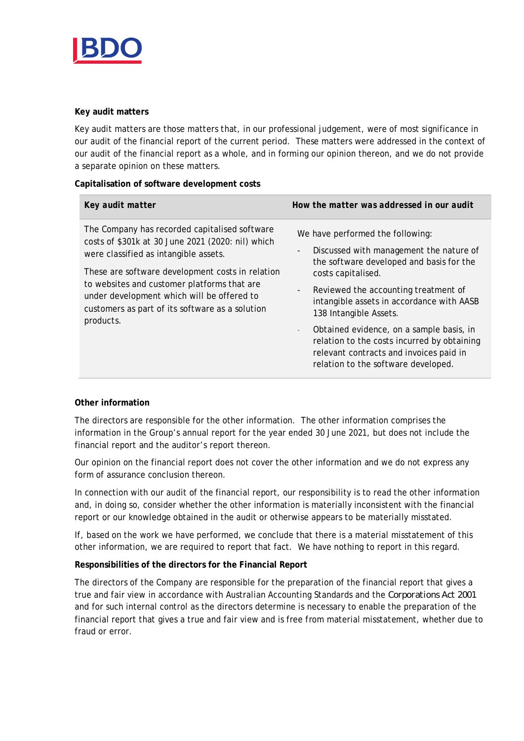

## **Key audit matters**

Key audit matters are those matters that, in our professional judgement, were of most significance in our audit of the financial report of the current period. These matters were addressed in the context of our audit of the financial report as a whole, and in forming our opinion thereon, and we do not provide a separate opinion on these matters.

**Capitalisation of software development costs**

| Key audit matter                                                                                                                                                                                                                                                                                                                                             | How the matter was addressed in our audit                                                                                                                                                                                                                                                                                                                                                                                                                                                                                     |
|--------------------------------------------------------------------------------------------------------------------------------------------------------------------------------------------------------------------------------------------------------------------------------------------------------------------------------------------------------------|-------------------------------------------------------------------------------------------------------------------------------------------------------------------------------------------------------------------------------------------------------------------------------------------------------------------------------------------------------------------------------------------------------------------------------------------------------------------------------------------------------------------------------|
| The Company has recorded capitalised software<br>costs of \$301k at 30 June 2021 (2020: nil) which<br>were classified as intangible assets.<br>These are software development costs in relation<br>to websites and customer platforms that are<br>under development which will be offered to<br>customers as part of its software as a solution<br>products. | We have performed the following:<br>Discussed with management the nature of<br>$\overline{\phantom{a}}$<br>the software developed and basis for the<br>costs capitalised.<br>Reviewed the accounting treatment of<br>$\overline{\phantom{0}}$<br>intangible assets in accordance with AASB<br>138 Intangible Assets.<br>Obtained evidence, on a sample basis, in<br>$\overline{\phantom{0}}$<br>relation to the costs incurred by obtaining<br>relevant contracts and invoices paid in<br>relation to the software developed. |

# **Other information**

The directors are responsible for the other information. The other information comprises the information in the Group's annual report for the year ended 30 June 2021, but does not include the financial report and the auditor's report thereon.

Our opinion on the financial report does not cover the other information and we do not express any form of assurance conclusion thereon.

In connection with our audit of the financial report, our responsibility is to read the other information and, in doing so, consider whether the other information is materially inconsistent with the financial report or our knowledge obtained in the audit or otherwise appears to be materially misstated.

If, based on the work we have performed, we conclude that there is a material misstatement of this other information, we are required to report that fact. We have nothing to report in this regard.

**Responsibilities of the directors for the Financial Report**

The directors of the Company are responsible for the preparation of the financial report that gives a true and fair view in accordance with Australian Accounting Standards and the *Corporations Act 2001* and for such internal control as the directors determine is necessary to enable the preparation of the financial report that gives a true and fair view and is free from material misstatement, whether due to fraud or error.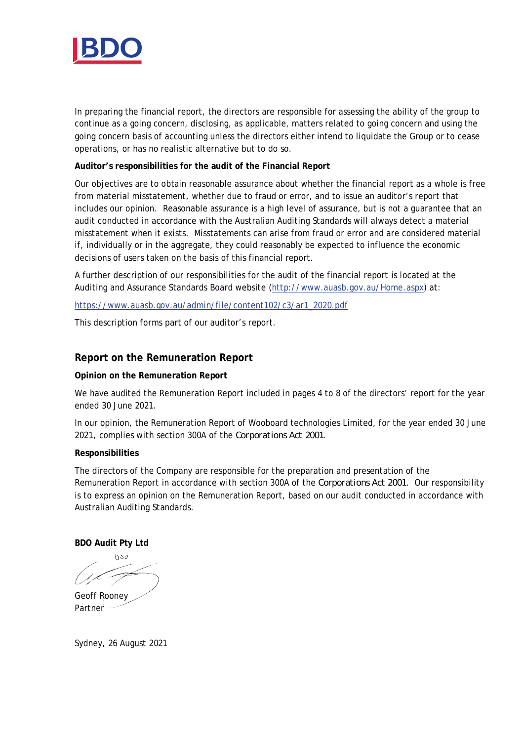

In preparing the financial report, the directors are responsible for assessing the ability of the group to continue as a going concern, disclosing, as applicable, matters related to going concern and using the going concern basis of accounting unless the directors either intend to liquidate the Group or to cease operations, or has no realistic alternative but to do so.

**Auditor's responsibilities for the audit of the Financial Report**

Our objectives are to obtain reasonable assurance about whether the financial report as a whole is free from material misstatement, whether due to fraud or error, and to issue an auditor's report that includes our opinion. Reasonable assurance is a high level of assurance, but is not a guarantee that an audit conducted in accordance with the Australian Auditing Standards will always detect a material misstatement when it exists. Misstatements can arise from fraud or error and are considered material if, individually or in the aggregate, they could reasonably be expected to influence the economic decisions of users taken on the basis of this financial report.

A further description of our responsibilities for the audit of the financial report is located at the Auditing and Assurance Standards Board website (http://www.auasb.gov.au/Home.aspx) at:

https://www.auasb.gov.au/admin/file/content102/c3/ar1\_2020.pdf

This description forms part of our auditor's report.

# **Report on the Remuneration Report**

**Opinion on the Remuneration Report**

We have audited the Remuneration Report included in pages 4 to 8 of the directors' report for the year ended 30 June 2021.

In our opinion, the Remuneration Report of Wooboard technologies Limited, for the year ended 30 June 2021, complies with section 300A of the *Corporations Act 2001*.

## **Responsibilities**

The directors of the Company are responsible for the preparation and presentation of the Remuneration Report in accordance with section 300A of the *Corporations Act 2001*. Our responsibility is to express an opinion on the Remuneration Report, based on our audit conducted in accordance with Australian Auditing Standards.

**BDO Audit Pty Ltd**

**DOA** 

Geoff Rooney Partner

Sydney, 26 August 2021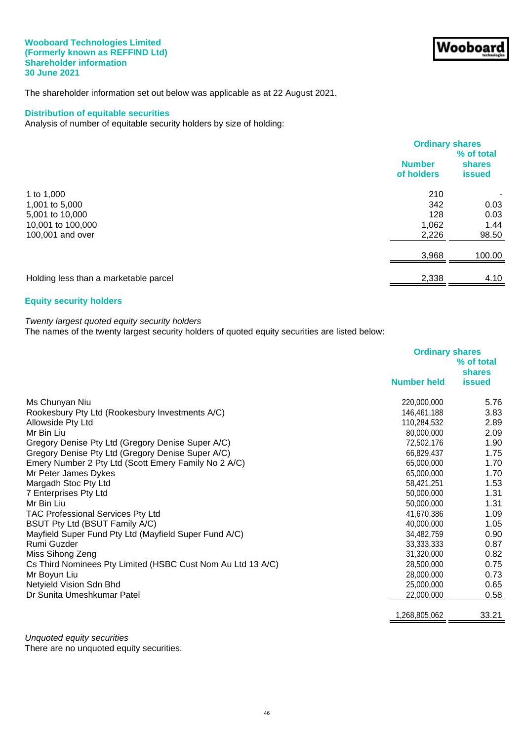#### **Wooboard Technologies Limited (Formerly known as REFFIND Ltd) Shareholder information 30 June 2021**

The shareholder information set out below was applicable as at 22 August 2021.

## **Distribution of equitable securities**

Analysis of number of equitable security holders by size of holding:

| <b>Number</b><br><b>shares</b><br>of holders<br><b>issued</b><br>210<br>1 to $1,000$<br>342<br>1,001 to 5,000<br>128<br>5,001 to 10,000<br>1,062<br>10,001 to 100,000<br>100,001 and over<br>2,226 |  | <b>Ordinary shares</b> |  |
|----------------------------------------------------------------------------------------------------------------------------------------------------------------------------------------------------|--|------------------------|--|
|                                                                                                                                                                                                    |  | % of total             |  |
|                                                                                                                                                                                                    |  |                        |  |
|                                                                                                                                                                                                    |  |                        |  |
|                                                                                                                                                                                                    |  |                        |  |
|                                                                                                                                                                                                    |  | 0.03                   |  |
|                                                                                                                                                                                                    |  | 0.03                   |  |
|                                                                                                                                                                                                    |  | 1.44                   |  |
|                                                                                                                                                                                                    |  | 98.50                  |  |
| 3,968                                                                                                                                                                                              |  | 100.00                 |  |
|                                                                                                                                                                                                    |  |                        |  |
| 2,338<br>Holding less than a marketable parcel                                                                                                                                                     |  | 4.10                   |  |

## **Equity security holders**

## *Twenty largest quoted equity security holders*

The names of the twenty largest security holders of quoted equity securities are listed below:

|                                                             | <b>Ordinary shares</b><br>% of total<br><b>shares</b> |               |
|-------------------------------------------------------------|-------------------------------------------------------|---------------|
|                                                             | <b>Number held</b>                                    | <b>issued</b> |
| Ms Chunyan Niu                                              | 220,000,000                                           | 5.76          |
| Rookesbury Pty Ltd (Rookesbury Investments A/C)             | 146,461,188                                           | 3.83          |
| Allowside Pty Ltd                                           | 110,284,532                                           | 2.89          |
| Mr Bin Liu                                                  | 80,000,000                                            | 2.09          |
| Gregory Denise Pty Ltd (Gregory Denise Super A/C)           | 72,502,176                                            | 1.90          |
| Gregory Denise Pty Ltd (Gregory Denise Super A/C)           | 66,829,437                                            | 1.75          |
| Emery Number 2 Pty Ltd (Scott Emery Family No 2 A/C)        | 65,000,000                                            | 1.70          |
| Mr Peter James Dykes                                        | 65,000,000                                            | 1.70          |
| Margadh Stoc Pty Ltd                                        | 58,421,251                                            | 1.53          |
| 7 Enterprises Pty Ltd                                       | 50,000,000                                            | 1.31          |
| Mr Bin Liu                                                  | 50,000,000                                            | 1.31          |
| <b>TAC Professional Services Pty Ltd</b>                    | 41,670,386                                            | 1.09          |
| BSUT Pty Ltd (BSUT Family A/C)                              | 40,000,000                                            | 1.05          |
| Mayfield Super Fund Pty Ltd (Mayfield Super Fund A/C)       | 34,482,759                                            | 0.90          |
| Rumi Guzder                                                 | 33, 333, 333                                          | 0.87          |
| Miss Sihong Zeng                                            | 31,320,000                                            | 0.82          |
| Cs Third Nominees Pty Limited (HSBC Cust Nom Au Ltd 13 A/C) | 28,500,000                                            | 0.75          |
| Mr Boyun Liu                                                | 28,000,000                                            | 0.73          |
| Netyield Vision Sdn Bhd                                     | 25,000,000                                            | 0.65          |
| Dr Sunita Umeshkumar Patel                                  | 22,000,000                                            | 0.58          |
|                                                             | 268,805,062,                                          | 33.21         |
|                                                             |                                                       |               |

*Unquoted equity securities* There are no unquoted equity securities.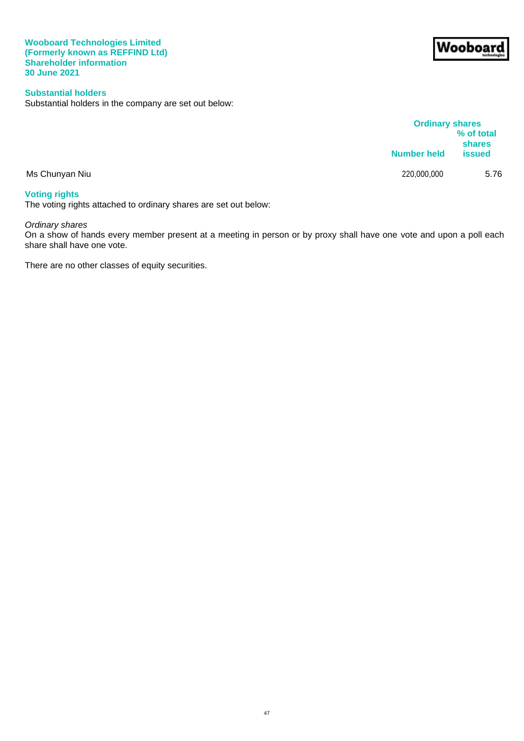### **Wooboard Technologies Limited (Formerly known as REFFIND Ltd) Shareholder information 30 June 2021**

## **Substantial holders**

Substantial holders in the company are set out below:

|                | <b>Ordinary shares</b> | % of total<br>shares |
|----------------|------------------------|----------------------|
|                | <b>Number held</b>     | <b>issued</b>        |
| Ms Chunyan Niu | 220,000,000            | 5.76                 |
| .              |                        |                      |

## **Voting rights**

The voting rights attached to ordinary shares are set out below:

## *Ordinary shares*

On a show of hands every member present at a meeting in person or by proxy shall have one vote and upon a poll each share shall have one vote.

There are no other classes of equity securities.

# Wooboar